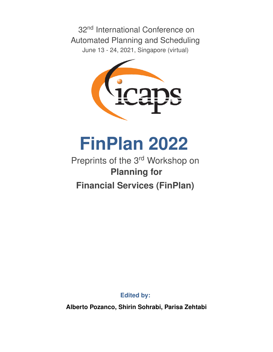32<sup>nd</sup> International Conference on Automated Planning and Scheduling June 13 - 24, 2021, Singapore (virtual)



**FinPlan 2022**

# Preprints of the 3<sup>rd</sup> Workshop on **Planning for Financial Services (FinPlan)**

**Edited by:**

**Alberto Pozanco, Shirin Sohrabi, Parisa Zehtabi**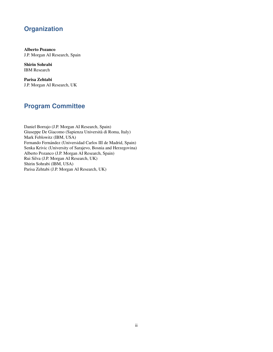# **Organization**

Alberto Pozanco J.P. Morgan AI Research, Spain

Shirin Sohrabi IBM Research

Parisa Zehtabi J.P. Morgan AI Research, UK

# **Program Committee**

Daniel Borrajo (J.P. Morgan AI Research, Spain) Giuseppe De Giacomo (Sapienza Universita di Roma, Italy) ` Mark Feblowitz (IBM, USA) Fernando Fernández (Universidad Carlos III de Madrid, Spain) Senka Krivic (University of Sarajevo, Bosnia and Herzegovina) Alberto Pozanco (J.P. Morgan AI Research, Spain) Rui Silva (J.P. Morgan AI Research, UK) Shirin Sohrabi (IBM, USA) Parisa Zehtabi (J.P. Morgan AI Research, UK)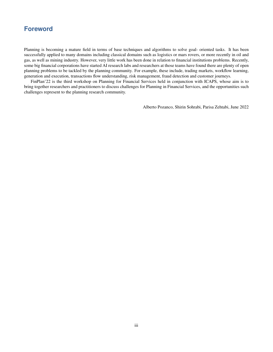# **Foreword**

Planning is becoming a mature field in terms of base techniques and algorithms to solve goal- oriented tasks. It has been successfully applied to many domains including classical domains such as logistics or mars rovers, or more recently in oil and gas, as well as mining industry. However, very little work has been done in relation to financial institutions problems. Recently, some big financial corporations have started AI research labs and researchers at those teams have found there are plenty of open planning problems to be tackled by the planning community. For example, these include, trading markets, workflow learning, generation and execution, transactions flow understanding, risk management, fraud detection and customer journeys.

FinPlan'22 is the third workshop on Planning for Financial Services held in conjunction with ICAPS, whose aim is to bring together researchers and practitioners to discuss challenges for Planning in Financial Services, and the opportunities such challenges represent to the planning research community.

Alberto Pozanco, Shirin Sohrabi, Parisa Zehtabi, June 2022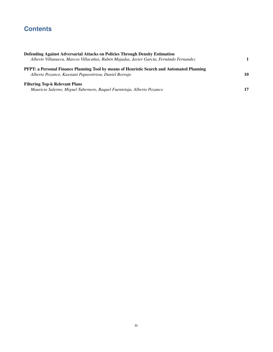# **Contents**

| Defending Against Adversarial Attacks on Policies Through Density Estimation<br>Alberto Villanueva, Marcos Villacañas, Rubén Majadas, Javier García, Fernándo Fernandez |    |
|-------------------------------------------------------------------------------------------------------------------------------------------------------------------------|----|
| <b>PFPT: a Personal Finance Planning Tool by means of Heuristic Search and Automated Planning</b><br>Alberto Pozanco, Kassiani Papasotiriou, Daniel Borrajo             | 10 |
| <b>Filtering Top-k Relevant Plans</b><br>Mauricio Salerno, Miguel Tabernero, Raquel Fuentetaja, Alberto Pozanco                                                         | 17 |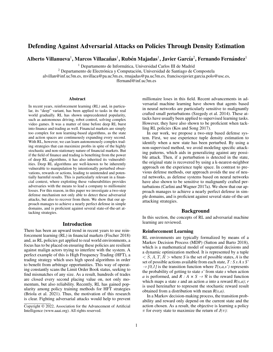# Defending Against Adversarial Attacks on Policies Through Density Estimation

Alberto Villanueva $^{\rm l}$ , Marcos Villacañas $^{\rm l}$ , Rubén Majadas $^{\rm l}$ , Javier García $^{\rm 2}$ , Fernando Fernández $^{\rm l}$ 

<sup>1</sup> Departamento de Informática, Universidad Carlos III de Madrid

 $2$  Departamento de Electrónica y Computación, Universidad de Santiago de Compostela

alvillan@inf.uc3m.es, mvillaca@pa.uc3m.es, rmajadas@pa.uc3m.es, franciscojavier.garcia.polo@usc.es,

ffernand@inf.uc3m.es

#### Abstract

In recent years, reinforcement learning (RL) and, in particular, its "deep" variant, has been applied to tasks in the real world gradually. RL has shown unprecedented popularity, such as autonomous driving, robot control, solving complex video games. It was a matter of time before deep RL burst into finance and trading as well. Financial markets are simply too complex for non learning-based algorithms, as the state and action spaces are continuously expanding every second. With RL, however, we can learn autonomously complex trading strategies that can maximize profits in spite of the highly stochastic and non-stationary nature of financial markets. But if the field of finance and trading is benefiting from the power of deep RL algorithms, it has also inherited its vulnerabilities. Deep RL algorithms are well-known to be inherently vulnerable to manipulation by intentionally perturbed observations, rewards or actions, leading to unintended and potentially harmful results. This is particularly relevant in a financial context, where exploiting these vulnerabilities provides adversaries with the means to lead a company to millionaire losses. For this reason, in this paper we investigate a two-step defense mechanism not only able to detect these adversarial attacks, but also to recover from them. We show that our approach manages to achieve a nearly perfect defense in simple domains, and is proficient against several state-of-the-art attacking strategies.

### Introduction

There has been an upward trend in recent years to use reinforcement learning (RL) in financial markets (Fischer 2018) and, as RL policies get applied to real world environments, a focus has to be placed on ensuring these policies are resilient against malign actors trying to interfere with the system. A perfect example of this is High Frequency Trading (HFT), a trading strategy which uses high speed algorithms in order to benefit from arbitrage opportunities. This way of operating constantly scans the Limit Order Book status, seeking to find mismatches of any size. As a result, hundreds of trades are closed every second placing value on, not only momentum, but also reliability. Recently, RL has gained popularity among policy training methods for HFT strategies (Briola et al. 2021). Thus, the motivation of this research is clear. Fighting adversarial attacks would help to prevent

millionaire loses in this field. Recent advancements in adversarial machine learning have shown that agents based in neural networks are particularly sensitive to malignantly crafted small perturbations (Szegedy et al. 2014). These attacks have usually been applied to supervised learning tasks. However, they have also shown to be proficient when tackling RL policies (Kos and Song 2017).

In our work, we propose a two-step based defense system. First, we use experience tuple density estimation to identify when a new state has been perturbed. By using a non-supervised method, we avoid modeling specific attacking patterns, which aids in generalizing against any possible attack. Then, if a perturbation is detected in the state, the original state is recovered by using a k-nearest-neighbor approach on the experience tuple space. In contrast to previous defense methods, our approach avoids the use of neural networks, as defense systems based on neural networks have also shown to be sensitive to malignantly crafted perturbations (Carlini and Wagner 2017a). We show that our approach manages to achieve a nearly perfect defense in simple domains, and is proficient against several state-of-the-art attacking strategies.

#### Background

In this section, the concepts of RL and adversarial machine learning are reviewed.

#### Reinforcement Learning

RL environments are typically formalized by means of a Markov Decision Process (MDP) (Sutton and Barto 2018), which is a mathematical model of sequential decisions and a dynamic optimization method. It is represented by a tuple  $\langle S, A, T, R \rangle$  where *S* is the set of possible states, *A* is the set of possible actions available from each state, *T : S x A x S'*  $\rightarrow$  *[0,1]* is the transition function where *T*(*s,a,s'*) represents the probability of getting to state *s'* from state *s* when action *a* is performed, and  $R : A \times S \rightarrow \Re$  is the reward function which maps a state *s* and an action *a* into a reward  $R(s, a)$ ; *r* is used hereinafter to represent the stochastic reward result obtained from a distribution with mean *R(s,a)*.

In a Markov decision-making process, the transition probability and reward only depend on the current state and the action chosen. As a result, the objective is learning a policy  $\pi$  for every state to maximize the return of *J*( $\pi$ ):

Copyright © 2022, Association for the Advancement of Artificial Intelligence (www.aaai.org). All rights reserved.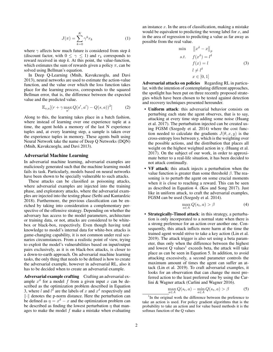$$
J(\pi) = \sum_{k=0}^{K} \gamma^k r_k
$$
 (1)

where  $\gamma$  affects how much future is considered from step *k* (discount factor, with  $0 \leq \gamma \leq 1$ ) and  $r_k$  corresponds to reward received in step *k*. At this point, the value-function, which estimates the sum of rewards given a policy  $\pi$ , can be solved using Bellman's equation.

In Deep Q-Learning (Mnih, Kavukcuoglu, and Davi 2013), neural networks are used to estimate the action-value function, and the value over which the loss function takes place for the learning process, corresponds to the squared Bellman error, that is, the difference between the expected value and the predicted value.

$$
\mathbb{E}_{s,a}[(r+\gamma \max_{a'} Q(s',a') - Q(s,a))^2]
$$
 (2)

Along to this, the learning takes place in a batch fashion, where instead of learning over one experience tuple at a time, the agent holds a memory of the last N experience tuples and, at every learning step, a sample is taken over the experience tuples in memory. These agents built using Neural Network take the name of Deep Q Networks (DQN) (Mnih, Kavukcuoglu, and Davi 2013).

#### Adversarial Machine Learning

In adversarial machine learning, adversarial examples are maliciously generated such that the machine learning model fails its task. Particularly, models based on neural networks have been shown to be specially vulnerable to such attacks.

These attacks can be classified as poisoning attacks, where adversarial examples are injected into the training phase, and exploratory attacks, where the adversarial examples are injected into the testing phase (Sethi and Kantardzic 2018). Furthermore, the previous classification can be enriched by taking into consideration a complementary perspective of the offensive strategy. Depending on whether the adversary has access to the model parameters, architecture or training data, or not, attacks are considered to be whitebox or black-box, respectively. Even though having total knowledge to model's internal data for white-box attacks is game-changing capability, it is not common under real scenarios circumstances. From a realistic point of view, trying to exploit the model's vulnerabilities based on input/output pairs exclusively, as it is on black-box attacks, is closer to a down-to-earth approach. On adversarial machine learning tasks, the only thing that needs to be defined is how to create the adversarial example, however in adversarial RL, also it has to be decided when to create an adversarial example.

Adversarial example crafting Crafting an adversarial example  $x^{\delta}$  for a model f from a given input x can be described as the optimization problem described in Equation 3, where l and  $l^{\delta}$  are the labels of x and  $x^{\delta}$  respectively and ∥·∥ denotes the p-norm distance. Here the perturbation can be defined as  $\eta = x^{\delta} - x$  and the optimization problem can be described as finding the lowest perturbation  $\eta$  that manages to make the model  $f$  make a mistake when evaluating

an instance  $x$ . In the area of classification, making a mistake would be equivalent to predicting the wrong label for  $x$ , and in the area of regression to predicting a value as far away as possible from the real value.

$$
\min \quad ||x^{\delta} - x||_{p} \ns.t. \quad f(x^{\delta}) = l^{\delta} \nf(x) = l \nl \neq l^{\delta} \nx \in [0, 1]
$$
\n(3)

Adversarial attacks on policies Regarding RL in particular, with the intention of contemplating different approaches, the spotlight has been put on three recently proposed strategies which have been chosen to be tested against detection and recovery techniques presented hereunder.

- Uniform attack: this adversarial behavior consists on perturbing each state the agent observes, that is to say, attacking at every time step adding some noise (Huang et al. 2017). The perturbation injected can be created using FGSM (Szegedy et al. 2014) where the cost function needed to calculate the gradients  $J(\theta, x, y)$  is the cross-entropy loss between y, which is the weighting over the possible actions, and the distribution that places all weight on the highest weighted action in y. (Huang et al. 2017). On the subject of our work, in order to approximate better to a real-life situation, it has been decided to not attack continually.
- VF attack: this attack injects a perturbation when the value function is greater than some threshold  $\beta$ . The reasoning is to perturb the agent on some crucial moments when it is close to reaching a reward. This can be seen as described in Equation 4. (Kos and Song 2017). Just like in uniform attack, to craft the adversarial examples, FGSM can be used (Szegedy et al. 2014).

$$
\max_{a \in A} Q(s_t, a) > \beta \tag{4}
$$

• Strategically-Timed attack: in this strategy, a perturbation is only incorporated to a normal state when there is a strong preference for an action over another one. Consequently, this attack inflicts more harm at the time the trained agent would strive to take a key action (Lin et al. 2019). The attack trigger is also set using a beta parameter, thus only when the difference between the highest and lowest  $Q$  values<sup>1</sup> exceeds beta, the attack will take place as can be seen in Equation 5. In addition, to avoid attacking excessively, a second parameter controls the maximum amount of times the agent can suffer an attack (Lin et al. 2019). To craft adversarial examples, it looks for an observation that can change the most preferred action to the least preferred one by using the Carlini & Wagner attack (Carlini and Wagner 2016).

$$
\max_{a \in A} Q(s_t, a) - \min_{a \in A} Q(s_t, a) > \beta \tag{5}
$$

<sup>&</sup>lt;sup>1</sup>In the original work the difference between the preference to take an action is used. For policy gradient algorithms that is the probability to take an action and for value based methods it is the softmax function of the Q values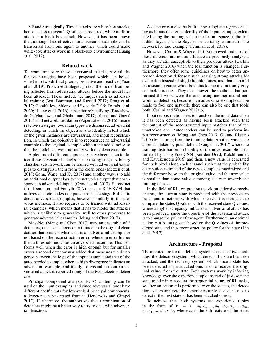VF and Strategically-Timed attacks are white-box attacks, hence access to agent's Q values is required, while uniform attack is a black-box attack. However, it has been shown that, although less effective, an adversarial example can be transferred from one agent to another which could make white-box attacks work in a black-box environment (Huang et al. 2017).

# Related work

To countermeasure these adversarial attacks, several defensive strategies have been proposed which can be divided into two distinct groups, proactive and reactive (Yuan et al. 2019). Proactive strategies protect the model from being affected from adversarial attacks before the model has been attacked. These include techniques such as adversarial training (Wu, Bamman, and Russell 2017; Dong et al. 2017; Goodfellow, Shlens, and Szegedy 2015; Tramèr et al. 2020; Huang et al. 2016), classifier robustifying (Bradshaw, de G. Matthews, and Ghahramani 2017; Abbasi and Gagné 2017), and network destilation (Papernot et al. 2016). Inside reactive strategies, two main types are discussed, adversarial detecting, in which the objective is to identify in test which of the given instances are adversarial, and input reconstruction, in which the objective is to reconstruct an adversarial example to the original example without the added noise so that the model can work normally with the clean example.

A plethora of different approaches have been taken to detect these adversarial attacks in the testing stage. A binary classifier sub-network can be trained with adversarial examples to distinguish them from the clean ones (Metzen et al. 2017; Gong, Wang, and Ku 2017) and another way is to add an additional output class to the networks output that corresponds to adversarial inputs (Grosse et al. 2017). Safety-net (Lu, Issaranon, and Forsyth 2017) uses an RDF-SVM that utilizes discrete codes computed from late stage ReLUs to detect adversarial examples, however similarly to the previous methods, it also requires to be trained with adversarial examples, which means that it has to model the attacker which is unlikely to generalize well to other processes to generate adversarial examples (Meng and Chen 2017).

Mag-Net (Meng and Chen 2017) uses an ensemble of 2 detectors, one is an autoencoder trained on the original clean dataset that predicts whether it is an adversarial example or not based on the reconstruction error, where an error higher than a threshold indicates an adversarial example. This performs well when the error is high enough but for smaller errors a second detector was added that measures the divergence between the logit of the input example and that of the autoencoded example, where a high divergence indicates an adversarial example, and finally, to ensemble them an adversarial attack is reported if any of the two detectors detect one.

Principal component analysis (PCA) whitening can be used on the input examples, and since adversarial ones have different coefficients for low-ranked principal components, a detector can be created from it (Hendrycks and Gimpel 2017). Furthermore, the authors say that a combination of detectors might be a better way to try to deal with adversarial detection.

A detector can also be built using a logistic regressor using as inputs the kernel density of the input example, calculated using the training set on the feature space of the last hidden layer, and the Bayesian uncertainty estimate of the network for said example (Feinman et al. 2017).

However, Carlini & Wagner (2017a) showed that most of these defenses are not as effective as previously analyzed, as they are still susceptible to their previous attack (Carlini and Wagner 2016) when the loss function is changed. Furthermore, they offer some guidelines on how to better approach detection defenses; such as using strong attacks for evaluation instead of single iteration ones, and that it should be resistant against white-box attacks too and not only gray or black box ones. They also showed the methods that performed the worst were the ones using another neural network for detection, because if an adversarial example can be made to fool one network, there can also be one that fools both (Carlini and Wagner 2017a,b).

Input reconstruction tries to transform the input data when it has been detected as having been attacked such that the output of the reconstructed input matches that of the unattacked one. Autoencoders can be used to perform input reconstruction (Meng and Chen 2017; Gu and Rigazio 2015) by learning from the training data. Another way is the approach taken by pixel defend (Song et al. 2017) where the training distribution probability of the novel example is estimated by using PixelCNN (van den Oord, Kalchbrenner, and Kavukcuoglu 2016) and then, a new value is generated for each pixel along each channel such that the probability distribution estimated of the new example is maximized and the difference between the original value and the new value is smaller than some value  $\epsilon$  moving it closer towards the training dataset.

In the field of RL, on previous work on defensive mechanisms, the current state is predicted with the previous m states and m actions with which the result is then used to compare the states Q values with the received state Q values, where a high discrepancy indicates an adversarial attack has been produced, since the objective of the adversarial attack is to change the policy of the agent. Furthermore, an optimal action can be suggested based on the Q values of the predicted state and thus reconstruct the policy for the state (Lin et al. 2017).

# Architecture - Proposal

The architecture for our defense system consists of two modules, the detection system, which detects if a state has been attacked, and the recovery system, which once a state has been detected as an attacked one, tries to recover the original values from the state. Both systems work by inferring knowledge over the experience tuple instead of just over the state to take into account the sequential nature of RL tasks, so after an action  $a$  is performed over the state  $s$ , the detection system analyzes the experience tuple  $\langle s, a, s', r \rangle$  to detect if the next state s ′ has been attacked or not.

To achieve this, both systems use experience tuples in the form of  $\tau = \langle s_0, s_1, ..., s_n, a_0, a_1, ..., a_m, \rangle$  $s'_0, s'_1, \ldots, s'_n, r >$ , where  $s_i$  is the *i*-th feature of the state,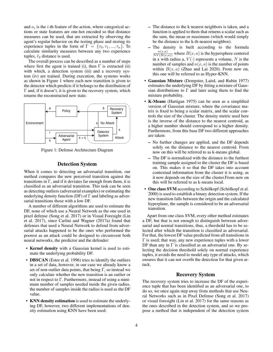and  $a_i$  is the *i*-th feature of the action, where categorical actions or state features are one-hot encoded so that distance measures can be used, that are extracted by observing the agent's regular behavior on the testing phase and storing its experience tuples in the form of  $\Gamma = \{\tau_0, \tau_1, ..., \tau_n\}$ . To calculate similarity measures between any two experience tuples,  $\ell_2$  distance is used.

The overall process can be described as a number of steps where first the agent is trained (i), then  $\Gamma$  is extracted (ii) with which, a detection system (iii) and a recovery system (iv) are trained. During execution, the systems works as shown in Figure 1 where each new transition is given to the detector which predicts if it belongs to the distribution of Γ and, if it doesn't, it is given to the recovery system, which returns the reconstructed new state.



Figure 1: Defense Architecture Diagram

# Detection System

When it comes to detecting an adversarial transition, our method compares the new perceived transition against the transitions in  $\Gamma$ , and if it deviates far enough from them, it is classified as an adversarial transition. This task can be seen as detecting outliers (adversarial examples) or estimating the underlying density function (DF) of  $\Gamma$  and labeling as adversarial transitions those with a low DF.

A number of different algorithms are used to estimate the DF, none of which use a Neural Network as the one used in pixel defense (Song et al. 2017) or in Visual Foresight (Lin et al. 2017), since Carlini and Wagner (2017a) found that defenses that used a Neural Network to defend from adversarial attacks happened to be the ones who performed the poorest as an attack could be designed to circumvent both neural networks, the predictor and the defender:

- Kernel density with a Gaussian kernel is used to estimate the underlying probability DF.
- **DBSCAN** (Ester et al. 1996) tries to identify the outliers in a set of data, however, in our case we already know a set of non-outlier data points, that being  $\Gamma$ , so instead we only calculate whether the new transition is an outlier or not in respect to Γ. Furthermore, instead of using a minimum number of samples needed inside the given radius, the number of samples inside the radius is used as the DF value.
- KNN density estimation is used to estimate the underlying DF, however, two different implementations of density estimation using KNN have been used:
- The distance to the k nearest neighbors is taken, and a function is applied to them that returns a scalar such as the sum, the mean or maximum (which would simply be the distance to the k-th nearest neighbor).
- The density is built according to the formula  $\frac{n(x,a)}{NV(B(x,a))}$  where  $B(x,a)$  is the hypersphere centered in x with radius a,  $V(\cdot)$  represents a volume, N is the number of samples and  $n(x, a)$  is the number of points within  $B(x, a)$  (Zhao and Lai 2020). From now on, this one will be referred to as Hyper-KNN.
- Gaussian Mixture (Dempster, Laird, and Rubin 1977) estimates the underlying DF by fitting a mixture of Gaussian distributions to  $\Gamma$  and later using them to find the mixture probability.
- K-Means (Hartigan 1975) can be seen as a simplified version of Gaussian mixture, where the covariance matrix is fixed to being a scalar matrix, and the scalar controls the size of the cluster. The density metric used here is the inverse of the distance to the nearest centroid, as a higher number should correspond to a higher density. Furthermore, from this base DF two different approaches are taken:
	- No further changes are applied, and the DF depends solely on the distance to the nearest centroid. From now on this will be referred to as k-means global.
	- The DF is normalized with the distance to the furthest training sample assigned to the cluster the DF is based on. This makes it so that the DF takes into account contextual information from the cluster it is using, as it now depends on the size of the cluster.From now on this will be referred to as k-means local.
- One class SVM according to Schölkopf (Schölkopf et al. 2000) is used to establish a binary detection system. If the new transition falls between the origin and the calculated hyperplane, the sample is considered to be an adversarial transition.

Apart from one class SVM, every other method estimates a DF, but that is not enough to distinguish between adversarial and normal transitions, thus, a threshold has to be selected after which the transition is classified as adversarial. For that, the lowest DF value predicted from all transitions in  $\Gamma$  is used; that way, any new experience tuples with a lower DF than any in  $\Gamma$  is classified as an adversarial one. By selecting the decision threshold solely on normal experience tuples, it avoids the need to model any type of attacks, which ensures that it can not overfit the detection for that given attack.

# Recovery System

The recovery system tries to increase the DF of the experience tuple that has been identified as an adversarial one, to do so, we once again step away from methods that use Neural Networks such as in Pixel Defense (Song et al. 2017) or visual foresight (Lin et al. 2017) for the same reasons as the ones described in the detection system, and so we propose a method that is independent of the detection system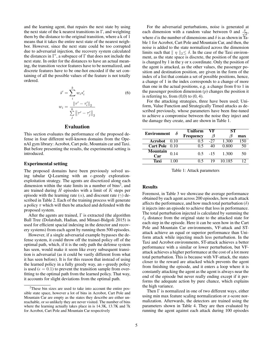and the learning agent, that repairs the next state by using the next state of the k nearest transitions in  $\Gamma$ , and weighting them by the distance to the original transition, where a k of 1 means that it takes the entire next state of the nearest neighbor. However, since the next state could be too corrupted due to adversarial injection, the recovery system calculated the distances in  $\Gamma'$ , a subspace of  $\Gamma$  that does not include the next state. In order for the distances to have an actual meaning, the transition vector features have to be normalized, and discrete features have to be one-hot encoded if the set containing of all the possible values of the feature is not totally ordered.

$$
\hat{s}' = \sum_{i}^{k} w_{i} s'_{i}
$$
\n
$$
w_{i} = \frac{\|\tau' - \tau'_{i}\|_{2}}{\sum_{j}^{k} \|\tau' - \tau'_{j}\|_{2}}
$$
\n(6)

#### Evaluation

This section evaluates the performance of the proposed defense in four different well-known domains from the OpenAI gym library: Acrobot, Cart pole, Mountain car and Taxi. But before presenting the results, the experimental setting is introduced.

#### Experimental setting

The proposed domains have been previously solved using tabular Q-Learning with an  $\epsilon$ -greedy explorationexploitation strategy. The agents are discretized along each dimension within the state limits in a number of bins<sup>2</sup>, and are trained during  $H$  episodes with a limit of  $K$  steps per episode with the learning rate ( $\alpha$ ), and discount rate ( $\gamma$ ) described in Table 2. Each of the training process will generate a policy  $\pi$  which will then be attacked and defended with the proposed system.

After the agents are trained,  $\Gamma$  is extracted (the algorithm Ball Tree (Dolatshah, Hadian, and Minaei-Bidgoli 2015) is used for efficient spacial indexing in the detector and recovery systems) from each agent by running them 500 episodes.

However, if a single adversarial example bypasses the defense system, it could throw off the trained policy off of the optimal path, which, if it is the only path the defense system has seen, would make it seem like every subsequent transition is adversarial (as it could be vastly different from what it has seen before). It is for this reason that instead of using the learned policy in a fully greedy way, an  $\epsilon$ -greedy policy is used ( $\epsilon = 0.1$ ) to prevent the transition sample from overfitting to the optimal path from the learned policy. That way, it accounts for slight deviations from the optimal path.

For the adversarial perturbations, noise is generated at each dimension with a random value between 0 and  $\frac{\delta}{\sqrt{2}}$  $\frac{1}{d}$ where d is the number of dimensions and  $\delta$  is as shown in Table 1 for Acrobot, Cart Pole and Mountain Car, and then, the noise is added to the state normalized across the dimension limits such that  $|| \eta ||_2 \leq \delta$ . In the case of the Taxi environment, as the state space is discrete, the position of the agent is changed by 1 in the y or x coordinate. Only the position of the agent is attacked, as the other values, the passenger position and destination position, are given in the form of the index of a list that contain a set of possible positions, hence, a change of 1 in the index corresponds to a change of more than one in the actual positions, e.g. a change from 0 to 1 in the passenger position dimension  $(p)$  changes the position it is referring to, from  $(0,0)$  to  $(0, 4)$ .

For the attacking strategies, three have been used; Uniform, Value Function and Strategically Timed attacks as described previously, whose parameters have been fine-tuned to achieve a compromise between the noise they inject and the damage they create, and are shown in Table 1.

| <b>Environment</b>     |      | Uniform          | VF         | SТ     |     |
|------------------------|------|------------------|------------|--------|-----|
|                        |      | <b>Frequency</b> | 11         | A      | max |
| Acrobot 0.10           |      | 0.5              | $-27$      | 1.300  | 150 |
| Cart Pole 0.10         |      | 05               |            | 0.800  |     |
| <b>Mountain</b><br>Car | 0.14 |                  | $0.5 - 15$ | 1.300  | 50  |
| Taxi                   |      |                  | 19         | 10.185 |     |

Table 1: Attack parameters

# Results

Foremost, in Table 3 we showcase the average performance obtained by each agent across 200 episodes, how each attack affects the performance, and how much total perturbation  $(\delta)$ it injects into an episode to achieve that loss in performance. The total perturbation injected is calculated by summing the  $\ell_2$  distance from the original state to the attacked state for each step in the episode. Here it can be seen how in the Cart Pole and Mountain Car environments, VF-attack and STattack achieve an equal or superior performance than Uniform attack while injecting much less perturbation. In the Taxi and Acrobot environments, ST-attack achieves a better performance with a similar or lower perturbation, but VFattack achieves a higher performance at the cost of a lot more total perturbation. This is because with VF-attack, the states closer to the reward are attacked which prevents the agent from finishing the episode, and it enters a loop where it is constantly attacking the agent as the agent is always near the end of the episode but never really ending except if it performs the adequate action by pure chance, which explains the high variance.

Then  $\Gamma$  is normalized in one of two different ways, either using min max feature scaling normalization or z-score normalization. Afterwards, the detectors are trained using the parameters shown in Table 4. They are then evaluated by running the agent against each attack during 100 episodes

<sup>&</sup>lt;sup>2</sup>These bin sizes are used to take into account the entire possible state space, however a lot of bins in Acrobot, Cart Pole and Mountain Car are empty as the states they describe are either unreachable, or so unlikely they are never visited. The number of bins where the learning actually takes place in is 14.3K, 13.7K and 7k for Acrobot, Cart Pole and Mountain Car respectively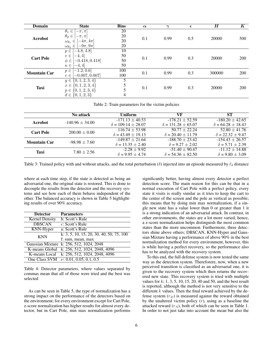| <b>Domain</b>       | <b>State</b>                                                                                                         | <b>Bins</b>          | $\alpha$ | $\sim$ | $\epsilon$ | $\bm H$ | K          |  |
|---------------------|----------------------------------------------------------------------------------------------------------------------|----------------------|----------|--------|------------|---------|------------|--|
| <b>Acrobot</b>      | $\theta_1$<br>$\in$<br>$-\pi, \pi$<br>$\theta_2 \in$<br>$-\pi, \pi$                                                  | 20<br>20             | 0.1      | 0.99   | 0.5        | 20000   | 500        |  |
|                     | $\omega_{\theta_1}$<br>$-4\pi$ , $4\pi$<br>$\in$<br>$-9\pi, 9\pi$<br>$\omega_{\theta_2} \in$                         | 20<br>20             |          |        |            |         |            |  |
| <b>Cart Pole</b>    | $[-4.8, 4.8]$<br>$p \in$<br>$-4, 4$<br>$v \in$<br>$-0.418, 0.418]$<br>$\phi \in$<br>$-4, 4]$<br>$\kappa \in$         | 10<br>50<br>50<br>50 | 0.1      | 0.99   | 0.3        | 20000   | 200        |  |
| <b>Mountain Car</b> | 1.2, 0.6<br>$p \in$<br>$-0.007, 0.007$<br>$v \in$                                                                    | 100<br>100           | 0.1      | 0.99   | 0.3        | 300000  | <b>200</b> |  |
| <b>Taxi</b>         | $\{1, 2, 3, 4\}$<br>$y \in$<br>$x \in \{0, 1, 2, 3, 4\}$<br>$\{0, 1, 2, 3, 4\}$<br>$p \in$<br>$d \in \{0, 1, 2, 3\}$ | 5<br>5<br>4          | 0.1      | 0.99   | 0.3        | 20000   | 200        |  |

Table 2: Train parameters for the victim policies

|                     | No attack           | <b>Uniform</b>              | VF                          | <b>ST</b>                |
|---------------------|---------------------|-----------------------------|-----------------------------|--------------------------|
| <b>Acrobot</b>      | $-140.96 \pm 34.00$ | $-171.13 \pm 40.53$         | $-178.21 \pm 52.59$         | $-180.20 \pm 42.65$      |
|                     |                     | $\delta = 109.14 \pm 28.07$ | $\delta = 131.28 \pm 65.07$ | $\delta = 64.28 + 18.43$ |
| <b>Cart Pole</b>    | $200.00 \pm 0.00$   | $116.74 \pm 53.98$          | $50.77 \pm 22.24$           | $52.80 \pm 41.76$        |
|                     |                     | $\delta = 43.49 \pm 19.13$  | $\delta = 20.40 \pm 11.79$  | $\delta = 22.32 + 9.47$  |
| <b>Mountain Car</b> | $-98.98 \pm 7.60$   | $-149.87 + 21.64$           | $-188.70 \pm 23.42$         | $-154.43 + 26.57$        |
|                     |                     | $\delta = 13.35 \pm 2.40$   | $\delta = 9.27 + 2.02$      | $\delta = 5.71 \pm 2.39$ |
| Taxi                | $7.80 \pm 2.56$     | $-2.28 \pm 9.92$            | $-51.40 \pm 90.47$          | $-11.12 + 14.88$         |
|                     |                     | $\delta = 9.95 + 4.74$      | $\delta = 54.36 \pm 82.50$  | $\delta = 9.80 \pm 3.09$ |

Table 3: Trained policy with and without attacks, and the total perturbation ( $\delta$ ) injected into an episode measured by  $\ell_2$  distance

where at each time step, if the state is detected as being an adversarial one, the original state is restored. This is done to decouple the results from the detector and the recovery systems and see how each of them behave independent of the other. The balanced accuracy is shown in Table 5 highlighting results of over 90% accuracy.

| <b>Detector</b>       | <b>Parameters</b>                            |
|-----------------------|----------------------------------------------|
| <b>Kernel Density</b> | h: Scott's Rule                              |
| <b>DBSCAN</b>         | $\epsilon$ : Scott's Rule                    |
| KNN-Hyper             | a: Scott's Rule                              |
| <b>KNN</b>            | k: 3, 5, 10, 15, 20, 30, 40, 50, 75, 100     |
|                       | f: sum, mean, max                            |
|                       | Gaussian Mixture k: 256, 512, 1024, 2048     |
|                       | K-means Global k: 256, 512, 1024, 2048, 4096 |
|                       | K-means Local k: 256, 512, 1024, 2048, 4096  |
|                       | One Class SVM $\nu$ : 0.01, 0.05, 0.1, 0.5   |

Table 4: Detector parameters, where values separated by commas mean that all of those were tried and the best was selected

As can be seen in Table 5, the type of normalization has a strong impact on the performance of the detectors based on the environment; for every environment except for Cart Pole, z-score normalization has higher results for almost every detector, but in Cart Pole, min max normalization performs

significantly better, having almost every detector a perfect detection score. The main reason for this can be that in a normal execution of Cart Pole with a perfect policy, every state it visits is really similar as it tries to keep the cart to the center of the screen and the pole as vertical as possible; this means that by doing min max normalization, if a single new state has a value lower than 0 or greater than 1 it is a strong indication of an adversarial attack. In contrast, in other environments, the states are a lot more varied, hence, a z-score normalization helps distinguish the most common states than the more uncommon. Furthermore, three detectors shine above others; DBSCAN, KNN-Hyper and Gaussian Mixture having a performance of above 90% in the best normalization method for every environment, however, this is while having a perfect recovery, so the performance also has to be analyzed with the recovery system.

To this end, the full defense system is now tested the same way as the detection system. Thereforere, now, when a new perceived transition is classified as an adversarial one, it is given to the recovery system which then returns the recovered new state. This recovery system is tried with multiple values for  $k$ ; 1, 3, 5, 10, 15, 20, 40 and 50, and the best result is reported, although the method is not very sensitive to the different  $k$  values. Then the final reward achieved by the defense system  $(r_D)$  is measured against the reward obtained by the unaltered victim policy  $(r)$ , using as a baseline the attacked reward  $(r_A)$ , both of which can be seen in Table 1. In order to not just take into account the mean but also the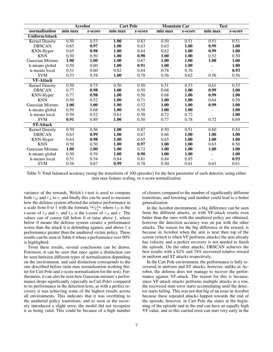|                         | <b>Acrobot</b> |         | <b>Cart Pole</b>            |         | <b>Mountain Car</b> |         | <b>Taxi</b>                 |         |
|-------------------------|----------------|---------|-----------------------------|---------|---------------------|---------|-----------------------------|---------|
| normalization           | min max        | z-score | $\overline{\text{min}}$ max | z-score | min max             | z-score | $\overline{\text{min}}$ max | z-score |
| <b>UniformAttack</b>    |                |         |                             |         |                     |         |                             |         |
| <b>Kernel Density</b>   | 0.50           | 0.53    | 1.00                        | 0.83    | 0.50                | 0.51    | 0.51                        | 0.51    |
| <b>DBSCAN</b>           | 0.65           | 0.97    | 1.00                        | 0.63    | 0.63                | 1.00    | 0.99                        | 1.00    |
| KNN-Hyper               | 0.65           | 0.98    | 1.00                        | 0.64    | 0.62                | 1.00    | 0.99                        | 1.00    |
| <b>KNN</b>              | 0.50           | 0.50    | 1.00                        | 0.98    | 1.00                | 1.00    | 0.52                        | 0.50    |
| Gaussian Mixture        | 1.00           | 1.00    | 1.00                        | 0.67    | 1.00                | 1.00    | 1.00                        | 1.00    |
| k-means global          | 0.50           | 0.60    | 1.00                        | 0.91    | 1.00                | 1.00    |                             | 1.00    |
| k-means local           | 0.51           | 0.60    | 0.82                        | 0.84    | 0.78                | 0.76    |                             | 0.93    |
| <b>SVM</b>              | 0.53           | 0.58    | 1.00                        | 0.78    | 0.56                | 0.62    | 0.56                        | 0.56    |
| <b>VF-Attack</b>        |                |         |                             |         |                     |         |                             |         |
| <b>Kernel Density</b>   | 0.50           | 0.75    | 0.50                        | 0.50    | 0.51                | 0.53    | 0.61                        | 0.53    |
| <b>DBSCAN</b>           | 0.77           | 0.98    | 1.00                        | 0.50    | 0.68                | 1.00    | 0.99                        | 1.00    |
| KNN-Hyper               | 0.77           | 0.98    | 1.00                        | 0.50    | 0.68                | 1.00    | 0.99                        | 1.00    |
| <b>KNN</b>              | 0.50           | 0.52    | 1.00                        | 0.71    | 1.00                | 1.00    | 0.64                        | 0.50    |
| <b>Gaussian Mixture</b> | 1.00           | 1.00    | 1.00                        | 0.52    | 1.00                | 1.00    | 0.99                        | 1.00    |
| k-means global          | 0.50           | 0.68    | 1.00                        | 0.58    | 1.00                | 1.00    |                             | 1.00    |
| k-means local           | 0.50           | 0.52    | 0.61                        | 0.58    | 0.72                | 0.72    |                             | 1.00    |
| <b>SVM</b>              | 0.91           | 0.89    | 1.00                        | 0.50    | 0.77                | 0.78    | 0.72                        | 0.69    |
| <b>ST-Attack</b>        |                |         |                             |         |                     |         |                             |         |
| <b>Kernel Density</b>   | 0.50           | 0.56    | 1.00                        | 0.87    | 0.50                | 0.51    | 0.60                        | 0.54    |
| <b>DBSCAN</b>           | 0.63           | 0.99    | 1.00                        | 0.67    | 0.66                | 1.00    | 1.00                        | 1.00    |
| KNN-Hyper               | 0.64           | 0.98    | 1.00                        | 0.65    | 0.65                | 1.00    | 1.00                        | 1.00    |
| <b>KNN</b>              | 0.50           | 0.50    | 1.00                        | 0.97    | 1.00                | 1.00    | 0.63                        | 0.50    |
| Gaussian Mixture        | 1.00           | 1.00    | 1.00                        | 0.72    | 1.00                | 1.00    | 1.00                        | 1.00    |
| k-means global          | 0.50           | 0.59    | 1.00                        | 0.90    | 1.00                | 1.00    | $\sim$                      | 1.00    |
| k-means local           | 0.51           | 0.54    | 0.84                        | 0.81    | 0.84                | 0.85    |                             | 0.93    |
| <b>SVM</b>              | 0.56           | 0.67    | 0.99                        | 0.78    | 0.50                | 0.61    | 0.63                        | 0.61    |

Table 5: Total balanced accuracy (using the transitions of 100 episodes) for the best parameter of each detector, using either min max feature scaling, or z-score normalization

variance of the rewards, Welch's t-test is used to compare both  $r_D$  and  $r_A$  to r, and finally this can be used to measure how the defense system affected the relative performance in a scale from 0 to 1 with the formula  $\frac{t_D-t_A}{-t_A}$  where  $t_D$  is the t-score of  $r_d$  and r, and  $t_A$  is the t-score of  $r_A$  and r. The values can of course fall below 0 or raise above 1, where below 0 means the defense system creates a performance worse than the attack it is defending against, and above 1 a performance greater than the unaltered victim policy. These results can be seen in Table 6 where a performance over 90% is highlighted.

From these results, several conclusions can be drawn. Foremost, it can be seen that once again a distinction can be seen between different types of normalization depending on the environment, and said distinction corresponds to the one described before (min max normalization working better for Cart Pole and z-score normalization for the rest). Furthermore, it can also be seen how Gaussian mixture's performance drops significantly (specially in Cart Pole) compared to its performance in the detection tests, as with a perfect recovery it was achieving some of the highest results across all environments. This indicates that it was overfitting to the unaltered policy transitions, and as soon as the recovery introduced a slight error, the model did not recognize it as being valid. This could be because of a high number

of clusters compared to the number of significantly different transitions, and lowering said number could lead to a better generalization.

In the Acrobot environment, a big difference can be seen from the different attacks, as with VF-attack results even better than the ones with the unaltered policy are obtained, however the detection accuracy was on par with the other attacks. The reason for the big difference in the reward, is because in Acrobot when the arm is near then top of the screen (which is when VF performs attacks) the arm already has velocity and a perfect recovery is not needed to finish the episode. On the other attacks, DBSCAN achieves the best results with a 62% and 74% recovered relative reward in uniform and ST attacks respectively.

In the Cart Pole environment, the performance is fully recovered in uniform and ST attacks, however, unlike in Acrobot, the defense does not manage to recover the performance against VF-attack. The reason for this is because, since VF-attack attacks performs multiple attacks in a row, the recovered state error starts accumulating until the detector starts failing. This was not that big of an issue in Acrobot because these repeated attacks happen towards the end of the episode, however, in Cart Pole the states at the beginning of the episode and at the end can have an equally high VF value, and so this carried error can start very early in the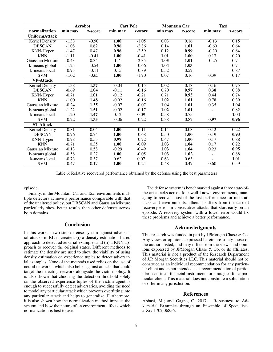|                       | <b>Acrobot</b> |         | <b>Cart Pole</b>            |         | <b>Mountain Car</b> |         | <b>Taxi</b>    |         |
|-----------------------|----------------|---------|-----------------------------|---------|---------------------|---------|----------------|---------|
| normalization         | min max        | z-score | $\overline{\text{min}}$ max | z-score | min max             | z-score | min max        | z-score |
| <b>UniformAttack</b>  |                |         |                             |         |                     |         |                |         |
| <b>Kernel Density</b> | $-1.33$        | $-0.90$ | 1.00                        | $-1.05$ | 0.03                | 0.16    | $-0.13$        | 0.15    |
| <b>DBSCAN</b>         | $-1.08$        | 0.62    | 0.96                        | $-2.86$ | 0.14                | 1.01    | $-0.60$        | 0.64    |
| KNN-Hyper             | $-1.47$        | 0.47    | 0.96                        | $-2.59$ | 0.12                | 0.99    | $-0.30$        | 0.64    |
| <b>KNN</b>            | $-1.11$        | $-0.41$ | 1.00                        | $-0.41$ | 1.01                | 1.00    | 0.13           | 0.20    |
| Gaussian Mixture      | $-0.43$        | 0.34    | $-1.71$                     | $-2.35$ | 1.05                | 1.01    | $-0.25$        | 0.74    |
| k-means global        | $-1.25$        | $-0.54$ | 1.00                        | $-0.66$ | 1.04                | 1.03    |                | 0.71    |
| k-means local         | $-0.95$        | $-0.11$ | 0.15                        | $-0.89$ | 0.52                | 0.52    |                | 0.87    |
| <b>SVM</b>            | $-1.02$        | $-0.65$ | 1.00                        | $-1.90$ | 0.07                | 0.16    | 0.39           | 0.17    |
| <b>VF-Attack</b>      |                |         |                             |         |                     |         |                |         |
| <b>Kernel Density</b> | $-1.38$        | 1.37    | $-0.04$                     | $-0.15$ | 0.02                | 0.18    | 0.16           | 0.75    |
| <b>DBSCAN</b>         | $-0.69$        | 1.04    | $-0.11$                     | $-0.16$ | 0.70                | 0.97    | 0.38           | 0.88    |
| KNN-Hyper             | $-0.71$        | 1.01    | $-0.12$                     | $-0.21$ | 0.71                | 0.95    | 0.44           | 0.74    |
| <b>KNN</b>            | $-1.00$        | 1.48    | $-0.02$                     | $-0.16$ | 1.02                | 1.01    | 0.78           | 0.39    |
| Gaussian Mixture      | $-0.24$        | 1.35    | $-0.07$                     | $-0.07$ | 1.04                | 1.01    | 0.35           | 1.04    |
| k-means global        | $-1.22$        | 1.51    | $-0.02$                     | $-0.17$ | 1.02                | 1.01    |                | 0.82    |
| k-means local         | $-1.20$        | 1.47    | 0.12                        | 0.09    | 0.58                | 0.75    |                | 1.04    |
| <b>SVM</b>            | $-0.22$        | 1.35    | $-0.06$                     | $-0.22$ | 0.38                | 0.82    | 0.97           | 0.96    |
| <b>ST-Attack</b>      |                |         |                             |         |                     |         |                |         |
| <b>Kernel Density</b> | $-0.81$        | 0.04    | 1.00                        | $-0.11$ | 0.14                | 0.08    | 0.12           | 0.22    |
| <b>DBSCAN</b>         | $-0.76$        | 0.74    | 1.00                        | $-0.68$ | 0.50                | 1.00    | 0.19           | 0.93    |
| KNN-Hyper             | $-0.78$        | 0.53    | 0.99                        | $-0.72$ | 0.47                | 1.00    | 0.17           | 0.88    |
| <b>KNN</b>            | $-0.71$        | 0.35    | 1.00                        | $-0.09$ | 1.03                | 1.04    | 0.17           | 0.22    |
| Gaussian Mixture      | $-0.13$        | 0.58    | $-0.29$                     | $-0.49$ | 1.03                | 1.04    | 0.23           | 0.95    |
| k-means global        | $-0.58$        | 0.27    | 1.00                        | $-0.05$ | 1.03                | 1.02    | $\blacksquare$ | 0.88    |
| k-means local         | $-0.73$        | 0.37    | 0.62                        | 0.07    | 0.63                | 0.63    |                | 1.01    |
| <b>SVM</b>            | $-0.47$        | 0.17    | 1.00                        | $-0.24$ | 0.48                | 0.47    | 0.60           | 0.59    |

Table 6: Relative recovered performance obtained by the defense using the best parameters

episode.

Finally, in the Mountain Car and Taxi environments multiple detectors achieve a performance comparable with that of the unaltered policy, but DBSCAN and Gaussian Mixture particularly show better results than other defenses across both domains.

# Conclusion

In this work, a two-step defense system against adversarial attacks in RL is created; (i) a density estimation based approach to detect adversarial examples and (ii) a KNN approach to recover the original states. Different methods to estimate the density are used to show the viability of using density estimation on experience tuples to detect adversarial examples. None of the methods used relies on the use of neural networks, which also helps against attacks that could target the detecting network alongside the victim policy. It is also shown that choosing the detection threshold solely on the observed experience tuples of the victim agent is enough to successfully detect adversaries, avoiding the need to model any particular attack which prevents overfitting into any particular attack and helps to generalize. Furthermore, it is also shown how the normalization method impacts the system and how the nature of an environment affects which normalization is best to use.

The defense system is benchmarked against three state-ofthe-art attacks across four well-known environments, managing to recover most of the lost performance for most attacks and environments, albeit it suffers from the carried recovery error in consecutive attacks that start early on an episode. A recovery system with a lower error would fix these problems and achieve a better performance.

# Acknowledgments

This research was funded in part by JPMorgan Chase & Co. Any views or opinions expressed herein are solely those of the authors listed, and may differ from the views and opinions expressed by JPMorgan Chase & Co. or its affiliates. This material is not a product of the Research Department of J.P. Morgan Securities LLC. This material should not be construed as an individual recommendation for any particular client and is not intended as a recommendation of particular securities, financial instruments or strategies for a particular client. This material does not constitute a solicitation or offer in any jurisdiction.

# References

Abbasi, M.; and Gagné, C. 2017. Robustness to Adversarial Examples through an Ensemble of Specialists. arXiv:1702.06856.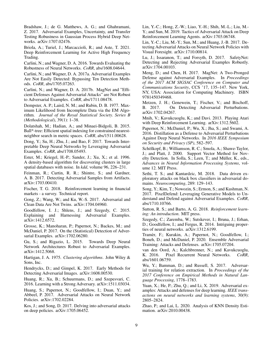Bradshaw, J.; de G. Matthews, A. G.; and Ghahramani, Z. 2017. Adversarial Examples, Uncertainty, and Transfer Testing Robustness in Gaussian Process Hybrid Deep Networks. arXiv:1707.02476.

Briola, A.; Turiel, J.; Marcaccioli, R.; and Aste, T. 2021. Deep Reinforcement Learning for Active High Frequency Trading.

Carlini, N.; and Wagner, D. A. 2016. Towards Evaluating the Robustness of Neural Networks. *CoRR*, abs/1608.04644.

Carlini, N.; and Wagner, D. A. 2017a. Adversarial Examples Are Not Easily Detected: Bypassing Ten Detection Methods. *CoRR*, abs/1705.07263.

Carlini, N.; and Wagner, D. A. 2017b. MagNet and "Efficient Defenses Against Adversarial Attacks" are Not Robust to Adversarial Examples. *CoRR*, abs/1711.08478.

Dempster, A. P.; Laird, N. M.; and Rubin, D. B. 1977. Maximum Likelihood from Incomplete Data via the EM Algorithm. *Journal of the Royal Statistical Society. Series B (Methodological)*, 39(1): 1–38.

Dolatshah, M.; Hadian, A.; and Minaei-Bidgoli, B. 2015. Ball\*-tree: Efficient spatial indexing for constrained nearestneighbor search in metric spaces. *CoRR*, abs/1511.00628.

Dong, Y.; Su, H.; Zhu, J.; and Bao, F. 2017. Towards Interpretable Deep Neural Networks by Leveraging Adversarial Examples. *CoRR*, abs/1708.05493.

Ester, M.; Kriegel, H.-P.; Sander, J.; Xu, X.; et al. 1996. A density-based algorithm for discovering clusters in large spatial databases with noise. In *kdd*, volume 96, 226–231.

Feinman, R.; Curtin, R. R.; Shintre, S.; and Gardner, A. B. 2017. Detecting Adversarial Samples from Artifacts. arXiv:1703.00410.

Fischer, T. G. 2018. Reinforcement learning in financial markets - a survey. Technical report.

Gong, Z.; Wang, W.; and Ku, W.-S. 2017. Adversarial and Clean Data Are Not Twins. arXiv:1704.04960.

Goodfellow, I. J.; Shlens, J.; and Szegedy, C. 2015. Explaining and Harnessing Adversarial Examples. arXiv:1412.6572.

Grosse, K.; Manoharan, P.; Papernot, N.; Backes, M.; and McDaniel, P. 2017. On the (Statistical) Detection of Adversarial Examples. arXiv:1702.06280.

Gu, S.; and Rigazio, L. 2015. Towards Deep Neural Network Architectures Robust to Adversarial Examples. arXiv:1412.5068.

Hartigan, J. A. 1975. *Clustering algorithms*. John Wiley & Sons, Inc.

Hendrycks, D.; and Gimpel, K. 2017. Early Methods for Detecting Adversarial Images. arXiv:1608.00530.

Huang, R.; Xu, B.; Schuurmans, D.; and Szepesvari, C. 2016. Learning with a Strong Adversary. arXiv:1511.03034.

Huang, S.; Papernot, N.; Goodfellow, I.; Duan, Y.; and Abbeel, P. 2017. Adversarial Attacks on Neural Network Policies. arXiv:1702.02284.

Kos, J.; and Song, D. 2017. Delving into adversarial attacks on deep policies. arXiv:1705.06452.

Lin, Y.-C.; Hong, Z.-W.; Liao, Y.-H.; Shih, M.-L.; Liu, M.- Y.; and Sun, M. 2019. Tactics of Adversarial Attack on Deep Reinforcement Learning Agents. arXiv:1703.06748.

Lin, Y.-C.; Liu, M.-Y.; Sun, M.; and Huang, J.-B. 2017. Detecting Adversarial Attacks on Neural Network Policies with Visual Foresight. arXiv:1710.00814.

Lu, J.; Issaranon, T.; and Forsyth, D. 2017. SafetyNet: Detecting and Rejecting Adversarial Examples Robustly. arXiv:1704.00103.

Meng, D.; and Chen, H. 2017. MagNet: A Two-Pronged Defense against Adversarial Examples. In *Proceedings of the 2017 ACM SIGSAC Conference on Computer and Communications Security*, CCS '17, 135–147. New York, NY, USA: Association for Computing Machinery. ISBN 9781450349468.

Metzen, J. H.; Genewein, T.; Fischer, V.; and Bischoff, B. 2017. On Detecting Adversarial Perturbations. arXiv:1702.04267.

Mnih, V.; Kavukcuoglu, K.; and Davi. 2013. Playing Atari with Deep Reinforcement Learning. arXiv:1312.5602.

Papernot, N.; McDaniel, P.; Wu, X.; Jha, S.; and Swami, A. 2016. Distillation as a Defense to Adversarial Perturbations Against Deep Neural Networks. In *2016 IEEE Symposium on Security and Privacy (SP)*, 582–597.

Schölkopf, B.; Williamson, R. C.; Smola, A.; Shawe-Taylor, J.; and Platt, J. 2000. Support Vector Method for Novelty Detection. In Solla, S.; Leen, T.; and Müller, K., eds., *Advances in Neural Information Processing Systems*, volume 12. MIT Press.

Sethi, T. S.; and Kantardzic, M. 2018. Data driven exploratory attacks on black box classifiers in adversarial domains. *Neurocomputing*, 289: 129–143.

Song, Y.; Kim, T.; Nowozin, S.; Ermon, S.; and Kushman, N. 2017. PixelDefend: Leveraging Generative Models to Understand and Defend against Adversarial Examples. *CoRR*, abs/1710.10766.

Sutton, R. S.; and Barto, A. G. 2018. *Reinforcement learning: An introduction*. MIT press.

Szegedy, C.; Zaremba, W.; Sutskever, I.; Bruna, J.; Erhan, D.; Goodfellow, I.; and Fergus, R. 2014. Intriguing properties of neural networks. arXiv:1312.6199.

Tramèr, F.; Kurakin, A.; Papernot, N.; Goodfellow, I.; Boneh, D.; and McDaniel, P. 2020. Ensemble Adversarial Training: Attacks and Defenses. arXiv:1705.07204.

van den Oord, A.; Kalchbrenner, N.; and Kavukcuoglu, K. 2016. Pixel Recurrent Neural Networks. CoRR, Pixel Recurrent Neural Networks. *CoRR*, abs/1601.06759.

Wu, Y.; Bamman, D.; and Russell, S. 2017. Adversarial training for relation extraction. In *Proceedings of the 2017 Conference on Empirical Methods in Natural Language Processing*, 1778–1783.

Yuan, X.; He, P.; Zhu, Q.; and Li, X. 2019. Adversarial examples: Attacks and defenses for deep learning. *IEEE transactions on neural networks and learning systems*, 30(9): 2805–2824.

Zhao, P.; and Lai, L. 2020. Analysis of KNN Density Estimation. arXiv:2010.00438.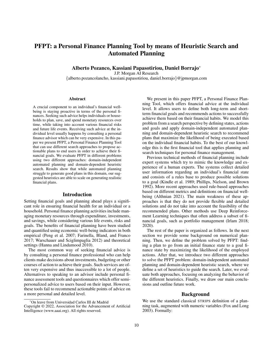# PFPT: a Personal Finance Planning Tool by means of Heuristic Search and Automated Planning

Alberto Pozanco, Kassiani Papasotiriou, Daniel Borrajo\*

J.P. Morgan AI Research

{alberto.pozancolancho, kassiani.papasotiriou, daniel.borrajo}@jpmorgan.com

#### Abstract

A crucial component to an individual's financial wellbeing is staying proactive in terms of the personal finances. Seeking such advice helps individuals or households to plan, save, and spend monetary resources over time, while taking into account various financial risks and future life events. Receiving such advice at the individual level usually happens by consulting a personal finance advisor which can be very expensive. In this paper we present PFPT, a Personal Finance Planning Tool that can use different search approaches to propose actionable plans to end users in order to achieve their financial goals. We evaluate PFPT in different problems using two different approaches: domain-independent automated planning and domain-dependent heuristic search. Results show that while automated planning struggle to generate good plans in this domain, our suggested heuristics are able to scale on generating realistic financial plans.

#### Introduction

Setting financial goals and planning ahead plays a significant role in ensuring financial health for an individual or a household. Personal finance planning activities include managing monetary resources through expenditure, investments, and savings, while considering various life events, risks and goals. The benefits of financial planning have been studied and quantified using economic well-being indicators in both empirical (Peng et al. 2007; Farinella, Bland, and Franco 2017; Warschauer and Sciglimpaglia 2012) and theoretical settings (Hanna and Lindamood 2010).

The most common way of seeking financial advice is by consulting a personal finance professional who can help clients make decisions about investments, budgeting or other courses of action to achieve their goals. Such services are often very expensive and thus inaccessible to a lot of people. Alternatives to speaking to an advisor include personal finance assessment tools and questionnaires which offer semipersonalized advice to users based on their input. However, these tools fail to recommend actionable points of advice on a more personal and detailed level.

We present in this paper PFPT, a Personal Finance Planning Tool, which offers financial advice at the individual level. It allows users to define both long-term and shortterm financial goals and recommends actions to successfully achieve them based on their financial habits. We model this problem from a search perspective by defining states, actions and goals and apply domain-independent automated planning and domain-dependent heuristic search to recommend plans that maximize the likelihood of being executed based on the individual financial habits. To the best of our knowledge this is the first financial tool that applies planning and search techniques for personal finance management.

Previous technical methods of financial planning include expert systems which try to mimic the knowledge and experience of a human experts. The systems collect detailed user information regarding an individual's financial state and consists of a rules base to produce possible solutions to a goal (Kindle et al. 1989; Phillips, Nielson, and Brown 1992). More recent approaches used rule-based approaches based on different metrics and definitions on financial wellbeing (Althnian 2021). The main weakness of these approaches is that they do not provide flexible and detailed solutions and do not take into account the feasibility of the recommended plans. Other methods use Deep Reinforcement Learning techniques that often address a subset of financial goals, such as portfolio management (Irlam 2018; 2020).

The rest of the paper is organized as follows. In the next section we provide some background on numerical planning. Then, we define the problem solved by PFPT: finding a plan to go from an initial finance state to a goal finance state by maximizing the likelihood of the employed actions. After that, we introduce two different approaches to solve the PFPT problem: domain-independent automated planning and domain-dependent heuristic search, where we define a set of heuristics to guide the search. Later, we evaluate both approaches, focusing on analyzing the behavior of the different heuristics. Finally, we draw our main conclusions and outline future work.

# Background

We use the standard classical STRIPS definition of a planning task, augmented with numeric variables (Fox and Long 2003). Formally:

<sup>\*</sup>On leave from Universidad Carlos III de Madrid Copyright © 2022, Association for the Advancement of Artificial

Intelligence (www.aaai.org). All rights reserved.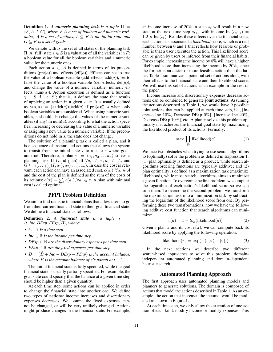**Definition 1.** A numeric planning task is a tuple  $\Pi$  = ⟨F, A, I, G⟩*, where* F *is a set of boolean and numeric variables,* A *is a set of actions,*  $I \subseteq F$  *is the initial state and*  $G \subseteq F$  *is a set of goals.* 

We denote with  $S$  the set of all states of the planning task  $\Pi$ . A (full) state *s* ∈ *S* is a valuation of all the variables in *F*; a boolean value for all the boolean variables and a numeric value for the numeric ones.

Each action  $a \in A$  is defined in terms of its preconditions ( $pre(a)$ ) and effects ( $eff(a)$ ). Effects can set to true the value of a boolean variable (add effects,  $add(a)$ ), set to false the value of a boolean variable (del effects,  $del(a)$ ), and change the value of a numeric variable (numeric effects,  $num(a)$ ). Action execution is defined as a function  $\gamma : S, A \rightarrow S'$ ; that is, it defines the state that results of applying an action in a given state. It is usually defined as  $\gamma(s, a) = (s \delta(a)) \cup \delta(a)$  if pre $(a) \subseteq s$  when only boolean variables are considered. When using numeric variables,  $\gamma$  should also change the values of the numeric variables (if any) in  $num(a)$ , according to what the action specifies; increasing or decreasing the value of a numeric variable or assigning a new value to a numeric variable. If the preconditions do not hold in s, the state does not change.

The solution of a planning task is called a plan, and it is a sequence of instantiated actions that allows the system to transit from the initial state  $I$  to a state  $s$  where goals are true. Therefore, a plan  $\pi = \langle a_1, a_2, \dots a_n \rangle$  solves a planning task  $\Pi$  (valid plan) iff  $\forall a_i \in \pi, a_i \in A$ , and  $G \subseteq \gamma(\ldots \gamma(\gamma(I, a_1), a_2) \ldots), a_n$ ). In case the cost is relevant, each action can have an associated cost,  $c(a_i)$ ,  $\forall a_i \in A$ and the cost of the plan is defined as the sum of the costs of its actions:  $c(\pi) = \sum_i c(a_i), \forall a_i \in \pi$ . A plan with minimal cost is called optimal.

# PFPT Problem Definition

We aim to find realistic financial plans that allow users to go from their current financial state to their goal financial state. We define a financial state as follows:

**Definition 2.** A *financial state is a tuple s* =  $\langle t, Inc, DExp, FExp, B \rangle$ *, where:* 

- t ∈ N *is a time step*
- *Inc*  $\in \mathbb{R}$  *is the income per time step*
- *DExp* ∈ R *are the discretionary expenses per time step*
- *FExp* ∈ R *are the fixed expenses per time step*
- $B = (\hat{B} + Inc DExp FExp)$  *is the account balance, where*  $\hat{B}$  *is the account balance of s*'s parent at  $t - 1$ *.*

The initial financial state is fully specified, while the goal financial state is usually partially specified. For example, the goal state could specify that the balance at a given time step should be higher than a given quantity.

At each time step, some actions can be applied in order to change the financial state into another one. We define two types of actions: income increases and discretionary expenses decreases. We assume the fixed expenses cannot be changed, or will be very unlikely changed. Actions might produce changes in the financial state. For example,

an income increase of 20% in state  $s_t$  will result in a new state at the next time step  $s_{t+1}$  with income Inc( $s_{t+1}$ ) =  $1.2 \times \text{Inc}(s_t)$ . Besides these effects over the financial state, each action has associated a *likelihood* score, which is a real number between 0 and 1 that reflects how feasible or probable is that a user executes the action. This likelihood score can be given by users or inferred from their financial habits. For example, increasing the income by  $0\%$  will have a higher likelihood score than increasing the income by 20%, since the former is an easier or more feasible action than the latter. Table 1 summarizes a potential set of actions along with their effects to the financial state and their likelihood score. We will use this set of actions as an example in the rest of the paper.

Income increase and discretionary expenses decrease actions can be combined to generate joint actions. Assuming the actions described in Table 1, we would have 9 possible joint actions that can be applied at each time step, i.e., [Increase Inc 10%, Decrease DExp 0%], [Increase Inc 20%, Decrease DExp 10%], etc. A plan  $\pi$  solves this problem optimally if it achieves the financial goal state by maximizing the likelihood product of its actions. Formally:

$$
\max \prod_{a \in \pi} likelihood(a) \tag{1}
$$

We face two obstacles when trying to use search algorithms to (optimally) solve the problem as defined in Expression 1: (1) plan optimality is defined as a product, while search algorithms ordering functions are typically additive; and (2) plan optimality is defined as a maximization task (maximize likelihood), while most search algorithms aims to minimize a given function. To overcome the first problem, we compute the logarithm of each action's likelihood score so we can sum them. To overcome the second problem, we transform the maximization task into a minimization task by subtracting the logarithm of the likelihood score from one. By performing these two transformations, now we have the following additive cost function that search algorithms can minimize:

$$
c(a) = 1 - log(likelihood(a))
$$
 (2)

Given a plan  $\pi$  and its cost  $c(\pi)$ , we can compute back its likelihood score by applying the following operation:

$$
likelihood(\pi) = \exp(-(c(\pi) - |\pi|))
$$
 (3)

In the next sections we describe two different search-based approaches to solve this problem: domainindependent automated planning and domain-dependent heuristic search.

# Automated Planning Approach

The first approach uses automated planning models and planners to generate solutions. The domain is composed of actions that model the actions described in Table 1. As an example, the action that increases the income, would be modeled as shown in Figure 1.

At each time step, we only allow the execution of one action of each kind: modify income or modify expenses. This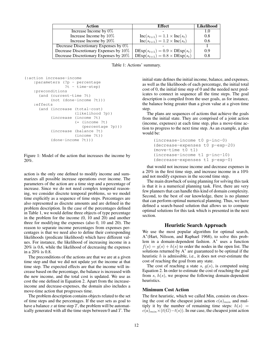| Action                                   | <b>Effect</b>                                        | <b>Likelihood</b> |
|------------------------------------------|------------------------------------------------------|-------------------|
| Increase Income by $0\%$                 |                                                      | 1.0               |
| Increase Income by 10%                   | $Inc(s_{t+1}) = 1.1 \times Inc(s_t)$                 | 0.8               |
| Increase Income by 20%                   | $Inc(s_{t+1}) = 1.2 \times Inc(s_t)$                 | 0.6               |
| Decrease Discretionary Expenses by $0\%$ |                                                      |                   |
| Decrease Discretionary Expenses by 10%   | $\text{DExp}(s_{t+1}) = 0.9 \times \text{DExp}(s_t)$ | 0.9               |
| Decrease Discretionary Expenses by 20%   | $\text{DExp}(s_{t+1}) = 0.8 \times \text{DExp}(s_t)$ | 0.8               |

Table 1: Actions' summary.

```
(:action increase-income
   :parameters (?p - percentage
                 ?t - time-step)
    :preconditions
      (and (current-time ?t)
           (not (done-income ?t)))
   :effects
      (and (increase (total-cost)
                    (likelihood ?p))
           (increase (income ?t)
                     (* (income ?t)
                        (percentage ?p)))
           (increase (balance ?t)
                     (income ?t))
           (done-income ?t)))
```
Figure 1: Model of the action that increases the income by 20%.

action is the only one defined to modify income and summarizes all possible increase operations over income. The parameters of the action are a time step and a percentage of increase. Since we do not need complex temporal reasoning, we consider discrete temporal problems, so we model time explicitly as a sequence of time steps. Percentages are also represented as discrete amounts and are defined in the problem description. In the case of the percentages defined in Table 1, we would define three objects of type percentage in the problem for the income (0, 10 and 20) and another three for modifying the expenses (also 0, 10 and 20). The reason to separate income percentages from expenses percentages is that we need also to define their corresponding likelihoods (predicate likelihood) which have different values. For instance, the likelihood of increasing income in a 20% is 0.6, while the likelihood of decreasing the expenses in a 20% is 0.8.

The preconditions of the actions are that we are at a given time step and that we did not update yet the income at that time step. The expected effects are that the income will increase based on the percentage, the balance is increased with the new income, and the total cost is updated. We use as cost the one defined in Equation 2. Apart from the increaseincome and decrease-expenses, the domain also includes a move-time action that progresses time.

The problem description contains objects related to the set of time steps and the percentages. If the user sets as goal to have a balance  $x$  at time step  $T$ , the problem will be automatically generated with all the time steps between 0 and  $T$ . The initial state defines the initial income, balance, and expenses, as well as the likelihoods of each percentage, the initial total cost of 0, the initial time step of 0 and the needed next predicates to connect in sequence all the time steps. The goal description is compiled from the user goals, as for instance, the balance being greater than a given value at a given time step.

The plans are sequences of actions that achieve the goals from the initial state. They are comprised of a joint action (income, expenses) at each time step, plus a move-time action to progress to the next time step. As an example, a plan would be:

```
(increase-income t0 p-inc-0)
(decrease-expenses t0 p-exp-20)
(move-time t0 t1)
(increase-income t1 p-inc-10)
(decrease-expenses t1 p-exp-0)
```
that would not increase income and decrease expenses in a 20% in the first time step, and increase income in a 10% and not modify expenses in the second time step.

The main drawback of using planning for solving this task is that it is a numerical planning task. First, there are very few planners that can handle this kind of domain complexity. Second, to the best of our knowledge, there is no planner that can perform optimal numerical planning. Thus, we have defined a search-based solution that allows us to compute optimal solutions for this task which is presented in the next section.

# Heuristic Search Approach

We use the most popular algorithm for optimal search, A ∗ (Hart, Nilsson, and Raphael 1968), to solve this problem in a domain-dependent fashion. A<sup>∗</sup> uses a function  $f(s) = g(s) + h(s)$  to order the nodes in the open list. The solutions returned by  $A^*$  are guaranteed to be optimal if the heuristic h is admissible, i.e., it does not over-estimate the cost of reaching the goal from any state.

The cost of reaching a state s,  $g(s)$ , is computed using Equation 2. In order to estimate the cost of reaching the goal from  $s, h(s)$ , we propose the following domain-dependent heuristics.

# Minimum Cost Action

The first heuristic, which we called Min, consists on choosing the cost of the cheapest joint action  $c(a)_{min}$  and multiply it by the number of remaining time steps:  $h(s)$  =  $c(a)_{min} \times (t(G)-t(s))$ . In our case, the cheapest joint action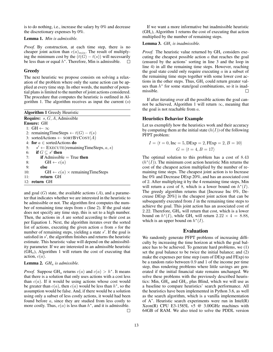is to do nothing, i.e., increase the salary by 0% and decrease the discretionary expenses by 0%.

### Lemma 1. *Min is admissible.*

*Proof.* By construction, at each time step, there is no cheaper joint action than  $c(a)_{min}$ . The result of multiplying the minimum cost by the  $(t(G) - t(s))$  will necessarily be less than or equal  $h^*$ . Therefore. Min is admissible.  $\Box$ be less than or equal  $h^*$ . Therefore, Min is admissible.

# **Greedy**

The next heuristic we propose consists on solving a relaxation of the problem where only the same action can be applied at every time step. In other words, the number of potential plans is limited to the number of joint actions considered. The procedure that computes the heuristic is outlined in Algorithm 1. The algorithm receives as input the current  $(s)$ 

| <b>Algorithm 1 Greedy Heuristic</b>                     |
|---------------------------------------------------------|
| <b>Require:</b> $s, G, A$ , Admissible                  |
| <b>Ensure: GH</b>                                       |
| 1: $GH \leftarrow \infty$                               |
| 2: remainingTimeSteps $\leftarrow t(G) - t(s)$          |
| 3: sortedActions $\leftarrow$ SORTBYCOST(A)             |
| 4: for $a \in$ sorted Actions do                        |
| 5: $s' \leftarrow$ EXECUTE (remaining Time Steps, a, s) |
| 6: if $G \subseteq s'$ then                             |
| <b>if</b> Admissible $=$ True then<br>7:                |
| $GH \leftarrow c(a)$<br>8:                              |
| else<br>9:                                              |
| $GH \leftarrow c(a) \times remainingTimeSteps$<br>10:   |
| return GH<br>11:                                        |
| 12: return GH                                           |
|                                                         |

and goal  $(G)$  state, the available actions  $(A)$ , and a parameter that indicates whether we are interested in the heuristic to be admissible or not. The algorithm first computes the number of remaining time steps from s (line 2). If the goal state does not specify any time step, this is set to a high number. Then, the actions in  $A$  are sorted according to their cost as per Equation 1. Next, the algorithm iterates over the sorted list of actions, executing the given action  $a$  from  $s$  for the number of remaining steps, yielding a state  $s'$ . If the goal is satisfied in s', the algorithm finishes and returns the heuristic estimate. This heuristic value will depend on the admissibility parameter. If we are interested in an admissible heuristic  $(GH<sub>a</sub>)$ , Algorithm 1 will return the cost of executing that action,  $c(a)$ .

#### Lemma 2. *GH*<sup>a</sup> *is admissible.*

*Proof.* Suppose  $GH_a$  returns  $c(a)$  and  $c(a) > h^*$ . It means that there is a solution that only uses actions with a cost less than  $c(a)$ . If it would be using actions whose cost would be greater than  $c(a)$ , then  $c(a)$  would be less than  $h^*$ , so the assumption would be false. And, if there would be a solution using only a subset of less costly actions, it would had been found before a, since they are studied from less costly to more costly. Thus,  $c(a)$  is less than  $h^*$ , and it is admissible.

If we want a more informative but inadmissible heuristic  $(GH<sub>i</sub>)$ , Algorithm 1 returns the cost of executing that action multiplied by the number of remaining steps.

# Lemma 3. *GH*<sup>i</sup> *is inadmissible.*

*Proof.* The heuristic value returned by  $GH_i$  considers executing the cheapest possible action  $\alpha$  that reaches the goal (ensured by the actions' sorting in line 3 and the loop in line 4) in all the remaining time steps. However, reaching the goal state could only require executing  $\alpha$  in a subset of the remaining time steps together with some lower cost actions in the other steps. Thus,  $GH_i$  could return greater values than  $h^*$  for some state/goal combinations, so it is inadmissible.  $\Box$ 

If after iterating over all the possible actions the goal cannot be achieved, Algorithm 1 will return  $\infty$ , meaning that the goal is not reachable from  $a$ .

#### Heuristics Behavior Example

Let us exemplify how the heuristics work and their accuracy by computing them at the initial state  $(h(I))$  of the following PFPT problem:

$$
I = \langle t = 0, \text{Inc} = 5, \text{DExp} = 2, \text{FExp} = 2, B = 10 \rangle
$$
  

$$
G = \langle t = 4, B = 17 \rangle
$$

The optimal solution to this problem has a cost of 8.43  $(h^*(I))$ . The minimum cost action heuristic Min returns the cost of the cheapest action multiplied by the number of remaining time steps. The cheapest joint action is to Increase Inc 0% and Decrease DExp 20%, and has an associated cost of 2. After multiplying it by the 4 remaining time steps, Min will return a cost of 8, which is a lower bound on  $h^*(I)$ . The greedy algorithm returns that [Increase Inc 0%, Decrease DExp 20%] is the cheapest joint action that can be subsequently executed from  $I$  in the remaining time steps to achieve the goal. This joint action has an associated cost of 2.22. Therefore,  $GH<sub>a</sub>$  will return that cost, which is a lower bound on  $h^*(I)$ , while GH<sub>i</sub> will return  $2.22 \times 4 = 8.88$ , which is an upper bound on  $h^*(I)$ .

# Evaluation

We randomly generate PFPT problems of increasing difficulty by increasing the time horizon at which the goal balance has to be achieved. To generate hard problems, we (1) set the goal balance to be twice the initial balance; and (2) make the expenses per time step (sum of DExp and FExp) to be a random ratio between 0.9 and 1 of the income per time step, thus rendering problems where little savings are generated if the initial financial state remains unchanged. We solve these problems with the previously described heuristics: Min,  $GH_a$  and  $GH_i$ , plus Blind, which we will use as a baseline to compare heuristics' search performance. All the heuristics have been implemented in Python 3.6, as well as the search algorithm, which is a vanilla implementation of A<sup>∗</sup> . Heuristic search experiments were run in Intel(R) Xeon(R) CPU E3-1585L v5 @ 3.00GHz machines with 64GB of RAM. We also tried to solve the PDDL version

 $\Box$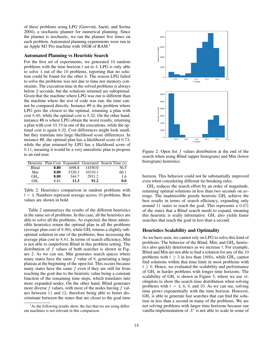of these problems using LPG (Gerevini, Saetti, and Serina 2004), a stochastic planner for numerical planning. Since the planner is stochastic, we ran the planner five times on each problem. Automated planning experiments were run in an Apple M1 Pro machine with 16GB of RAM.<sup>1</sup>

#### Automated Planning vs Heuristic Search

For the first set of experiments, we generated 10 random problems with the time horizon  $t$  set to 4. LPG is only able to solve 4 out of the 10 problems, reporting that no solution could be found for the other 6. The reason LPG failed to solve the problems was not due to time nor memory constraints. The execution time in the solved problems is always below 2 seconds, but the solutions returned are suboptimal. Given that the machine where LPG was run is different than the machine where the rest of code was run, the time cannot be compared directly. Instance #9 is the problem where LPG gets the closest to the optimal, returning a plan with cost 8.80, while the optimal cost is 8.32. On the other hand, instance #8 is where LPG obtain the worst results, returning a plan with cost 10.19 in one of the executions, while the optimal cost is again 8.32. Cost differences might look small, but they translate into large likelihood score differences. In instance #8, the optimal plan has a likelihood score of 0.73, while the plan returned by LPG has a likelihood score of 0.11, meaning it would be a very unrealistic plan to propose to an end user.

|                   |      |        |         | Heuristic Plan Cost Expanded Generated Search Time (s) |
|-------------------|------|--------|---------|--------------------------------------------------------|
| <b>Blind</b>      | 8.80 | 1698.8 | 14350.0 | 56.5                                                   |
| Min               | 8.80 | 5320.3 | 10310.1 | 60.1                                                   |
| $GH$ <sub>a</sub> | 8.80 | 344.7  | 2931.2  | 1.6                                                    |
| $GH_i$            | 8.81 | 11.3   | 91.2    | 0.0                                                    |

Table 2: Heuristics comparison in random problems with  $t = 4$ . Numbers represent average across 10 problems. Best values are shown in bold.

Table 2 summarizes the results of the different heuristics in the same set of problems. In this case, all the heuristics are able to solve all the problems. As expected, the three admissible heuristics return the optimal plan in all the problems (average plan cost of 8.80), while  $GH_i$  returns a slightly suboptimal solution in one of the problems, thus increasing the average plan cost to 8.81. In terms of search efficiency, Min is not able to outperform Blind in this problem setting. The distribution of  $f$  values of both searches is shown in Figure 2. As we can see, Min generates search spaces where many states have the same  $f$  value of 8, generating a large plateau at the beginning of the open list. This occurs because many states have the same  $f$  even if they are still far from reaching the goal due to the heuristic value being a constant function of the remaining time steps, which translates into more expanded nodes. On the other hand, Blind generates more diverse  $f$  values, with most of the nodes having  $f$  values between 11 and 12, therefore being able to better discriminate between the states that are closer to the goal time



Figure 2: Open list  $f$  values distribution at the end of the search when using Blind (upper histogram) and Min (lower histogram) heuristics.

horizon. This behavior could not be substantially improved even when considering different tie-breaking rules.

 $GH<sub>a</sub>$  reduces the search effort by an order of magnitude, returning optimal solutions in less than two seconds on average. The inadmissible greedy heuristic  $GH_i$  achieve the best results in terms of search efficiency, expanding only around 11 states to reach the goal. This represents a 0.6% of the states that a Blind search needs to expand, meaning this heuristic is really informative.  $GH_i$  also yields faster searches that reach the goal in less than a second.

#### Heuristics Scalability and Optimality

As we have seen, we cannot rely on LPG to solve this kind of problems. The behavior of the Blind, Min, and  $GH_a$  heuristics also quickly deteriorates as we increase t. For example, Blind and Min are not able to find a solution for any of the 10 problems with  $t \geq 5$  in less than 1800s, while GH<sub>a</sub> cannot find solutions within that time limit in most problems with  $t \geq 6$ . Hence, we evaluated the scalability and performance of  $GH_i$  in harder problems with longer time horizons. The scalability of  $GH_i$  is shown in Figure 3, where we use violinplots to show the search time distribution when solving problems with  $t = 4, 6, 8$ , and 10. As we can see, solving time grows exponentially with the time horizon. However,  $GH<sub>i</sub>$  is able to generate fast searches that can find the solution in less than a second in many of the problems. We are not solving problems with larger time horizons because our vanilla implementation of  $A^*$  is not able to scale in some of

 $<sup>1</sup>$ As the following results show, the fact that we are using differ-</sup> ent machines is not relevant in this comparison.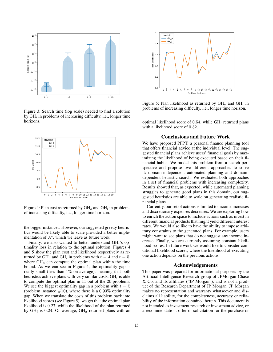

Figure 3: Search time (log scale) needed to find a solution by  $GH_i$  in problems of increasing difficulty, i.e., longer time horizons.



Figure 4: Plan cost as returned by  $GH_a$  and  $GH_i$  in problems of increasing difficulty, i.e., longer time horizon.

the bigger instances. However, our suggested greedy heuristics would be likely able to scale provided a better implementation of  $A^*$ , which we leave as future work.

Finally, we also wanted to better understand  $GH_i$ 's optimality loss in relation to the optimal solution. Figures 4 and 5 show the plan cost and likelihood respectively as returned by  $GH_a$  and  $GH_i$  in problems with  $t = 4$  and  $t = 5$ , where  $GH_a$  can compute the optimal plan within the time bound. As we can see in Figure 4, the optimality gap is really small (less than 1% on average), meaning that both heuristics achieve plans with very similar costs.  $GH_i$  is able to compute the optimal plan in 11 out of the 20 problems. We see the biggest optimality gap in a problem with  $t = 5$ (problem instance  $#10$ ), where there is a 0.93% optimality gap. When we translate the costs of this problem back into likelihood scores (see Figure 5), we get that the optimal plan likelihood is 0.27, while the likelihood of the plan returned by  $GH_i$  is 0.24. On average,  $GH_a$  returned plans with an



Figure 5: Plan likelihood as returned by  $GH_a$  and  $GH_i$  in problems of increasing difficulty, i.e., longer time horizon.

optimal likelihood score of 0.54, while  $GH_i$  returned plans with a likelihood score of 0.52.

# Conclusions and Future Work

We have proposed PFPT, a personal finance planning tool that offers financial advice at the individual level. The suggested financial plans achieve users' financial goals by maximizing the likelihood of being executed based on their financial habits. We model this problem from a search perspective and propose two different approaches to solve it: domain-independent automated planning and domaindependent heuristic search. We evaluated both approaches in a set of financial problems with increasing complexity. Results showed that, as expected, while automated planning struggles to generate good plans in this domain, our suggested heuristics are able to scale on generating realistic financial plans.

Currently, our set of actions is limited to income increases and discretionary expenses decreases. We are exploring how to enrich the action space to include actions such as invest in different financial products that might yield different interest rates. We would also like to have the ability to impose arbitrary constraints to the generated plans. For example, users might want to see plans that do not suggest any income increase. Finally, we are currently assuming constant likelihood scores. In future work we would like to consider conditional likelihood scores, where the likelihood of executing one action depends on the previous actions.

#### Acknowledgements

This paper was prepared for informational purposes by the Artificial Intelligence Research group of JPMorgan Chase & Co. and its affiliates ("JP Morgan"), and is not a product of the Research Department of JP Morgan. JP Morgan makes no representation and warranty whatsoever and disclaims all liability, for the completeness, accuracy or reliability of the information contained herein. This document is not intended as investment research or investment advice, or a recommendation, offer or solicitation for the purchase or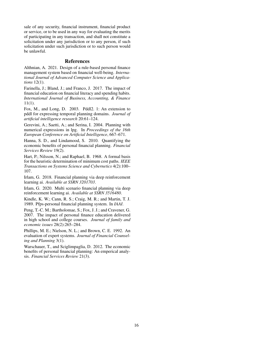sale of any security, financial instrument, financial product or service, or to be used in any way for evaluating the merits of participating in any transaction, and shall not constitute a solicitation under any jurisdiction or to any person, if such solicitation under such jurisdiction or to such person would be unlawful.

#### References

Althnian, A. 2021. Design of a rule-based personal finance management system based on financial well-being. *International Journal of Advanced Computer Science and Applications* 12(1).

Farinella, J.; Bland, J.; and Franco, J. 2017. The impact of financial education on financial literacy and spending habits. *International Journal of Business, Accounting, & Finance*  $11(1)$ .

Fox, M., and Long, D. 2003. Pddl2. 1: An extension to pddl for expressing temporal planning domains. *Journal of artificial intelligence research* 20:61–124.

Gerevini, A.; Saetti, A.; and Serina, I. 2004. Planning with numerical expressions in lpg. In *Proceedings of the 16th European Conference on Artificial Intelligence*, 667–671.

Hanna, S. D., and Lindamood, S. 2010. Quantifying the economic benefits of personal financial planning. *Financial Services Review* 19(2).

Hart, P.; Nilsson, N.; and Raphael, B. 1968. A formal basis for the heuristic determination of minimum cost paths. *IEEE Transactions on Systems Science and Cybernetics* 4(2):100– 107.

Irlam, G. 2018. Financial planning via deep reinforcement learning ai. *Available at SSRN 3201703*.

Irlam, G. 2020. Multi scenario financial planning via deep reinforcement learning ai. *Available at SSRN 3516480*.

Kindle, K. W.; Cann, R. S.; Craig, M. R.; and Martin, T. J. 1989. Pfps-personal financial planning system. In *IAAI*.

Peng, T.-C. M.; Bartholomae, S.; Fox, J. J.; and Cravener, G. 2007. The impact of personal finance education delivered in high school and college courses. *Journal of family and economic issues* 28(2):265–284.

Phillips, M. E.; Nielson, N. L.; and Brown, C. E. 1992. An evaluation of expert systems. *Journal of Financial Counseling and Planning* 3(1).

Warschauer, T., and Sciglimpaglia, D. 2012. The economic benefits of personal financial planning: An emperical analysis. *Financial Services Review* 21(3).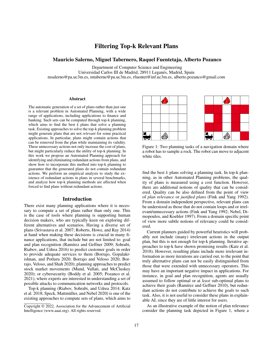# Filtering Top-k Relevant Plans

# Mauricio Salerno, Miguel Tabernero, Raquel Fuentetaja, Alberto Pozanco

Department of Computer Science and Engineering

Universidad Carlos III de Madrid, 28911 Leganes, Madrid, Spain ´

msalerno@pa.uc3m.es, mtaberne@pa.uc3m.es, rfuentet@inf.uc3m.es, alberto.pozanco@gmail.com

#### Abstract

The automatic generation of a set of plans rather than just one is a relevant problem in Automated Planning, with a wide range of applications, including applications to finance and banking. Such sets can be computed through top-k planning, which aims to find the best  $\overline{k}$  plans that solve a planning task. Existing approaches to solve the top-k planning problem might generate plans that are not *relevant* for some practical applications. In particular, plans might contain actions that can be removed from the plan while maintaining its validity. These unnecessary actions not only increase the cost of plans, but might particularly reduce the utility of top-k planning. In this work we propose an Automated Planning approach for identifying and eliminating redundant actions from plans, and show how to incorporate this method into top-k planning to guarantee that the generated plans do not contain redundant actions. We perform an empirical analysis to study the existence of redundant actions in plans in several benchmarks, and analyze how top-k planning methods are affected when forced to find plans without redundant actions.

# Introduction

There exist many planning applications where it is necessary to compute a set of plans rather than only one. This is the case of tools where planning is supporting human decision makers, who are typically keen on exploring different alternatives and scenarios. Having a diverse set of plans (Srivastava et al. 2007; Roberts, Howe, and Ray 2014) at hand when making these decisions is crucial in many finance applications, that include but are not limited to: goal and plan recognition (Ramírez and Geffner 2009; Sohrabi, Riabov, and Udrea 2016) to predict customer goals in order to provide adequate services to them (Borrajo, Gopalakrishnan, and Potluru 2020; Borrajo and Veloso 2020; Borrajo, Veloso, and Shah 2020); planning approaches to predict stock market movements (Mund, Vallati, and McCluskey 2020); or cybersecurity (Boddy et al. 2005; Pozanco et al. 2021), where experts are interested in understanding a set of possible attacks to communication networks and protocols.

Top-k planning (Riabov, Sohrabi, and Udrea 2014; Katz et al. 2018; Speck, Mattmüller, and Nebel 2020) is one of the existing approaches to compute sets of plans, which aims to



Figure 1: Two planning tasks of a navigation domain where a robot has to sample a rock. The robot can move to adjacent white tiles.

find the best  $k$  plans solving a planning task. In top-k planning, as in other Automated Planning problems, the quality of plans is measured using a cost function. However, there are additional notions of quality that can be considered. Quality can be also defined from the point of view of *plan relevance* or *justified plans* (Fink and Yang 1992). From a domain independent perspective, relevant plans can be understood as those that do not contain loops and or irrelevant/unnecessary actions (Fink and Yang 1992; Nebel, Dimopoulos, and Koehler 1997). From a domain specific point of view more subtle notions of relevancy could be considered.

Current planners guided by powerful heuristics will probably not include (many) irrelevant actions in the output plan, but this is not enough for top-k planning. Iterative approaches to top-k have shown promising results (Katz et al. 2018). However, resulting plans include more irrelevant information as more iterations are carried out, to the point that truly alternative plans can not be easily distinguished from those that were extended with unnecessary operators. This may have an important negative impact in applications. For instance, in goal and plan recognition, agents are usually assumed to follow optimal or at *least* sub-optimal plans to achieve their goals (Ramírez and Geffner 2010), but redundant actions do not contribute to achieve the goals to such task. Also, it is not useful to consider these plans in explainable AI, since they are of little interest for users.

As an illustrative example of the notion of plan relevance consider the planning task depicted in Figure 1, where a

Copyright © 2022, Association for the Advancement of Artificial Intelligence (www.aaai.org). All rights reserved.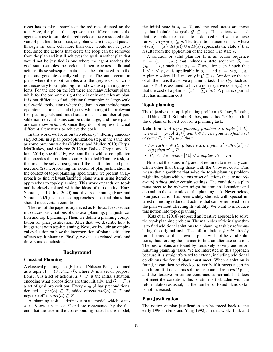robot has to take a sample of the red rock situated on the top. Here, the plans that represent the different routes the agent can use to sample the red rock can be considered relevant of justified. In contrast, any plan where the agent passes through the same cell more than once would not be justified, since the actions that create the loop can be removed from the plan and it still achieves the goal. Another plan that would not be justified is one where the agent reaches the goal state (samples the rock) and then executes additional actions: these subsequent actions can be subtracted from the plan, and generate equally valid plans. The same occurs in plans where the robot samples also the grey rock, which is not necessary to sample. Figure 1 shows two planning problems. For the one on the left there are many relevant plans, while for the one on the right there is only one relevant plan. It is not difficult to find additional examples in large-scale real-world applications where the domain can include many operators, static facts and objects, which might be irrelevant for specific goals and initial situations. The number of possible non-relevant plans can be quite large, and these plans are somehow *artificial*, since they do not represent actual different alternatives to achieve the goals.

In this work, we focus on two ideas: (1) filtering unnecessary actions in a plan post-optimization step, in the same line as some previous works (Nakhost and Müller 2010; Chrpa, McCluskey, and Osborne 2012b,a; Balyo, Chrpa, and Kilani 2014); specifically, we contribute with a compilation that encodes the problem as an Automated Planning task, so that in can be solved using an off-the-shelf automated planner; and (2) incorporating the notion of plan justification in the context of top-k planning; specifically, we present an approach to find relevant/justified plans when using iterative approaches to top-k planning. This work expands on top-k and is closely related with the ideas of top-quality (Katz, Sohrabi, and Udrea 2020) and diverse planning (Katz and Sohrabi 2020), since these approaches also find plans that should meet certain conditions.

The rest of the paper is organized as follows. Next section introduces basic notions of classical planning, plan justification and top-k planning. Then, we define a planning compilation for plan justification. After that, we describe how to integrate it with top-k planning. Next, we include an empirical evaluation on how the incorporation of plan justification affects top-k planning. Finally, we discuss related work and draw some conclusions.

# Background

# Classical Planning

A classical planning task (Fikes and Nilsson 1971) is defined as a tuple  $\Pi = (\mathcal{F}, \mathcal{A}, \mathcal{I}, \mathcal{G})$ , where  $\mathcal F$  is a set of propositions;  $\overline{A}$  is a set of actions;  $\mathcal{I} \subseteq \mathcal{F}$  is the initial situation, encoding what propositions are true initially; and  $\mathcal{G} \subseteq \mathcal{F}$  is a set of goal propositions. Every  $a \in A$  has preconditions, denoted as  $pre(a) \subseteq \mathcal{F}$ , added effects  $add(a) \subseteq \mathcal{F}$  and negative effects  $del(a) \subseteq \mathcal{F}$ .

A planning task Π defines a state model which states  $s \in S$  are subsets of F and are represented by the fluents that are true in the corresponding state. In this model,

the initial state is  $s_i = \mathcal{I}$ , and the goal states are those  $s_g$  that include the goals  $G \subseteq s_g$ . The actions  $a \in A$ that are applicable in a state  $s$ , denoted as  $A(s)$ , are those for which  $pre(a) \subseteq s$ . The transition function is  $\gamma$ , where  $\gamma(s,a) = (s \setminus \text{del}(a)) \cup \text{add}(a)$  represents the state s' that results from the application of the action a in state s.

A solution or valid plan for Π is an action sequence  $\pi = \langle a_1, \ldots, a_n \rangle$  that induces a state sequence  $S_\pi$  =  $\langle s_0, \ldots, s_n \rangle$  such that  $s_0 = \mathcal{I}$  and, for each i such that  $1 \leq i \leq n$ ,  $a_i$  is applicable in  $s_{i-1}$  and  $s_i = \gamma(s_{i-1}, a_i)$ . A plan  $\pi$  solves  $\Pi$  if and only if  $\mathcal{G} \subseteq s_n$ . We denote the set of all the plans that solve a planning task  $\Pi$  as  $P_{\Pi}$ . Each action  $a \in A$  is assumed to have a non-negative cost  $c(a)$ , so that the cost of a plan is  $c(\pi) = \sum c(a_i)$ . A plan is optimal if it has minimum cost.

# Top-k planning

The objective of a top-k planning problem (Riabov, Sohrabi, and Udrea 2014; Sohrabi, Riabov, and Udrea 2016) is to find the  $k$  plans of lowest cost for a planning task.

**Definition 1.** A top-k planning problem is a tuple  $(\Pi, k)$ , *where*  $\Pi = (\mathcal{F}, \mathcal{A}, \mathcal{I}, \mathcal{G})$  *and*  $k \in \mathbb{N}$ *. The goal is to find a set of plans*  $P_k \subseteq P_\Pi$  *such that:* 

- For each  $\pi \in P_k$ , if there exists a plan  $\pi'$  with  $c(\pi') <$  $c(\pi)$  *then*  $\pi' \in P$ *.*
- $|P_k| \leq |P_{\Pi}|$ , where  $|P_k| < k$  *implies*  $P_k = P_{\Pi}$ .

Note that the plans in  $P_k$  are not required to meet any condition other than being those with the *k* lowest costs. This means that algorithms that solve the top-k planning problem might find plans with actions or set of actions that are not*relevant/justified* under certain settings. The conditions a plan must meet to be *relevant* might be domain dependent and depend on the semantics of the planning task. Nevertheless, plan justification has been widely studied, with special interest in finding redundant actions that can be removed from the plan without affecting its validity. We want to introduce this notion into top-k planning.

Katz et al. (2018) proposed an iterative approach to solve the top-k planning problem. The main idea of their algorithm is to find additional solutions to a planning task by reformulating the original task. The reformulations *forbid* already found plans, so that previous plans will not be valid solutions, thus forcing the planner to find an alternate solution. The best *k* plans are found by iteratively solving and reformulating planning tasks. We are interested in this approach because it is straightforward to extend, including additional conditions the found plans must meet. When a solution is found, it can then be checked to verify if it meets a certain condition. If it does, this solution is counted as a *valid* plan, and the iterative procedure continues as normal. If it does not meet the condition, this solution is forbidden with the reformulation as usual, but the number of found plans so far is not increased.

#### Plan Justification

The notion of plan justification can be traced back to the early 1990s (Fink and Yang 1992). In that work, Fink and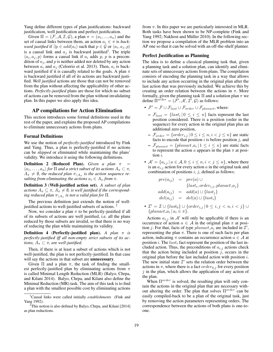Yang define different types of plan justifications: backward justification, well justification and perfect justification.

Given  $\Pi = (\mathcal{F}, \mathcal{A}, \mathcal{I}, \mathcal{G})$ , a plan  $\pi = (a_1, ..., a_n)$  and the set of causal links between them, an action  $a_i \in \pi$  is *backward justified* if  $\exists p \in add(a_i)$  such that  $p \in \mathcal{G}$  or  $\langle a_i, a_j, p \rangle$ is a causal link and  $a_j$  is backward justified<sup>1</sup>. The triple  $\langle a_i, a_j, p \rangle$  forms a causal link if  $a_i$  adds p, p is a precondition of  $a_i$ , and p is neither added nor deleted by any action between  $a_i$  and  $a_j$  (Celorrio et al. 2013). Then,  $a_i$  is backward justified if it is causally related to the goals. A plan  $\pi$ is backward justified if all of its actions are backward justified. *Well justified* actions are those that can not be removed from the plan without affecting the applicability of other actions. *Perfectly-justified* plans are those for which no subset of actions can be removed from the plan without invalidating plan. In this paper we also apply this idea.

# AP compilations for Action Elimination

This section introduces some formal definitions used in the rest of the paper, and explains the proposed AP compilations to eliminate unnecessary actions from plans.

#### Formal Definitions

We use the notion of *perfectly-justified* introduced by Fink and Yang. Thus, a plan is perfectly-justified if no actions can be *skipped* or eliminated while maintaining the plans' validity. We introduce it using the following definitions.

**Definition 2 (Reduced Plan).** *Given a plan* π  $\langle a_1, \ldots, a_n \rangle$  *for*  $\Pi$  *and a strict subset of its actions*  $A_{\pi} \subset \pi$ *,*  $A_{\pi} \neq \emptyset$ , the reduced plan  $\pi_{\setminus A_{\pi}}$  is the action sequence re*sulting from eliminating the actions*  $a_i \in A_\pi$  *from*  $\pi$ *.* 

Definition 3 (Well-justified action set). *A subset of plan* actions  $A_{\pi} \subseteq \pi$ ,  $A_{\pi} \neq \emptyset$ , is well justified if the correspond $i$ ng reduced plan  $\pi_{\setminus A_\pi}$  is not a valid plan for  $\Pi.$ 

The previous definition just extends the notion of welljustified actions to well-justified subsets of actions. <sup>2</sup>

Now, we consider a plan  $\pi$  to be perfectly-justified if all of its subsets of actions are well justified, i.e. all the plans reduced by those subsets are invalid, so that there is no way of reducing the plan while maintaining its validity.

Definition 4 (Perfectly-justified plan). *A plan* π *is perfectly-justified iff all non-empty strict subsets of its actions,*  $A_{\pi} \subset \pi$ *, are well-justified.* 

Then, if there is at least a subset of actions which is not well-justified, the plan is not perfectly-justified. In that case will say the actions in that subset are **unnecessary**.

Given  $\Pi$  and a plan  $\pi$ , the task of finding the smallest perfectly-justified plan by eliminating actions from  $\pi$ is called Minimal Length Reduction (MLR) (Balyo, Chrpa, and Kilani 2014). Balyo, Chrpa, and Kilani also define the Minimal Reduction (MR) task. The aim of this task is to find a plan with the smallest possible cost by eliminating actions

from  $\pi$ . In this paper we are particularly interested in MLR. Both tasks have been shown to be NP-complete (Fink and Yang 1992; Nakhost and Müller 2010). In the following section we propose a compilation of the MLR problem into an AP one so that it can be solved with an off-the-shelf planner.

#### Perfect Justification as Planning

The idea is to define a classical planning task that, given a planning task and a solution plan, can identify and eliminate sets of unnecessary actions from plans. The compilation consists of encoding the planning task in a way that allows to include any action occurring in the original plan after the last action that was previously included. We achieve this by creating an order relation between the actions in  $\pi$ . More formally, given the planning task  $\Pi$  and a solution plan  $\pi$  we define  $\Pi^{order} = (\mathcal{F}', \mathcal{A}', \mathcal{I}', \mathcal{G})$  as follows:

- $\mathcal{F}' = \mathcal{F} \cup \mathcal{F}_{last} \cup \mathcal{F}_{order} \cup \mathcal{F}_{planact}$ , where:
	- $-\mathcal{F}_{last} = \{last_i | 0 \leq i \leq n\}$  facts represent the last position considered. There is a position (order in the sequence) for every action in the original plan plus an additional zero position,
	- $\mathcal{F}_{order} = \{order_{i,j} | 0 \le i \le n, i < j \le n\}$  are static facts to encode that position *i* is before position *j*, and
	- $\mathcal{F}_{planact} = \{planact\_a_i | 1 \leq i \leq n\}$  are static facts to represent the action  $a$  appears in the plan  $\pi$  at position i.
- $A' = \{a_{i,j} \mid a \in A, 0 \le i \le n, i < j \le n\}$ , where there is an  $a_{i,j}$  action for every action a in the original task and combination of positions  $i, j$ , defined as follows:

 $pre(a_{ij}) = pre(a) \cup$  ${last<sub>i</sub>, order<sub>i,j</sub>,planet_a}$  $add(a_{ij}) = add(a) \cup \{last_j\}$  $del(a_{ij}) = del(a) \cup \{last_i\}$ 

•  $\mathcal{I}' = \mathcal{I} \cup \{last_0\} \cup \{order_{i,j} | 0 \leq i,j < n, i < j\} \cup$  $\{planact_{ai} | a_i \in \pi\}.$ 

Actions  $a_{i,j}$  in A' will only be applicable if there is an occurrence of action  $a \in A$  in the original plan  $\pi$  at position j. For that, facts of type  $planact_a_i$  are included in  $\mathcal{I}'$ , representing the plan  $\pi$ . There is one of such facts per plan action, indicating  $\pi$  contains an occurrence action  $a \in \mathcal{A}$  at position i. The  $last_i$  fact represent the position of the last included action. Thus, the preconditions of  $a_{i,j}$  actions check that the action being included at position  $j$ , occurs in the original plan before the last included action with position i. The new initial state  $\mathcal{I}'$  sets the relation order between the actions in  $\pi$ , where there is a fact order<sub>0,j</sub> for every position  $j$  in the plan, which allows the application of any action of the plan.

When  $\Pi^{order}$  is solved, the resulting plan will only contain the actions in the original plan that are necessary without altering the order. The plan that solves  $\Pi^{order}$  can be easily compiled-back to be a plan of the original task, just by removing the action parameters representing orders. The correspondence between the actions of both plans is one-toone.

<sup>1</sup>Causal links were called initially *establishments* (Fink and Yang 1992).

 $2$ This notion is also defined by Balyo, Chrpa, and Kilani [2014] as plan reductions.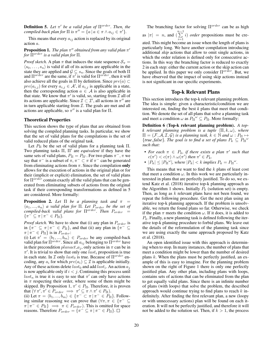Definition 5. *Let* π ′ *be a valid plan of* Πorder*. Then, the compiled-back plan for*  $\Pi$  *is*  $\pi'' = \{a \mid a \in \pi \land a_{ij} \in \pi'\}.$ 

This means that every  $a_{ij}$  action is replaced by its original action a.

#### Proposition 1. *The plan* π ′′ *obtained from any valid plan* π ′ *for*  $\overline{\Pi}^{order}$  *is a valid plan for*  $\Pi$ *.*

*Proof sketch.* A plan  $\pi$  that induces the state sequence  $S_{\pi}$  =  $\langle s_0, \ldots, s_n \rangle$  is valid if all of its actions are applicable in the state they are applied and  $\mathcal{G} \subseteq s_n$ . Since the goals of both  $\Pi$ and  $\Pi^{order}$  are the same, if  $\pi'$  is valid for  $\Pi^{order}$ , then it will also achieve all the goals in  $\Pi$  by definition. Since  $pre(a) \subset$  $pre(a_{i,j})$  for every  $a_{i,j} \in \mathcal{A}'$ , if  $a_{i,j}$  is applicable in a state, then the corresponding action  $a \in \mathcal{A}$  is also applicable in that state. We know that  $\pi'$  is valid, so, starting from  $\mathcal I$  all of its actions are applicable. Since  $\mathcal{I} \subset \mathcal{I}'$ , all actions in  $\pi''$  are in turn applicable starting from  $I$ . The goals are met and all actions are applicable, so  $\pi''$  is a valid plan for  $\Pi$ .

# Theoretical Properties

This section shows the type of plans that are obtained from solving the compiled planning tasks. In particular, we show that the set of valid plans for the compilations is the set of valid reduced plans of the original task.

Let  $P_{\Pi}$  be the set of valid plans for a planning task  $\Pi$ . Two planning tasks Π, Π′ are *equivalent* if they have the same sets of valid plans,  $P_{\Pi} = P_{\Pi'}$ . For two plans  $\pi^-$ ,  $\pi$  we say that  $\pi^-$  is a subset of  $\pi$ ,  $\pi^- \subset \pi$  if  $\pi^-$  can be generated from eliminating actions from  $\pi$ . Since the compilation only allows for the execution of actions in the original plan or for their (implicit or explicit) elimination, the set of valid plans for  $\Pi^{order}$  contain exactly all the valid plans that can be generated from eliminating subsets of actions from the original task if their corresponding transformations as defined in 5 are considered. More formally:

**Proposition 2.** Let  $\Pi$  be a planning task and  $\pi$  =  $\langle a_1, ..., a_n \rangle$  *a valid plan for*  $\Pi$ *. Let*  $P_{order}$  *be the set of compiled-back valid plans for*  $\Pi^{order}$ *. Then*  $P_{order}$  =  $\{\pi^- \subseteq \pi \, | \, \pi^- \in P_{\Pi}\}.$ 

*Proof sketch.* We have to show that (i) any plan in  $P_{order}$  is in  $\{\pi^- \subseteq \pi \mid \pi^- \in P_{\Pi}\}\$ , and that (ii) any plan in  $\{\pi^- \subseteq$  $\pi | \pi^- \in P_{\Pi}$  is in  $P_{order}$ :

(i) Let  $\pi' = \langle b_1, ..., b_m \rangle \in P_{order}$  be any compiled-back valid plan for  $\Pi^{order}$ . Since all  $a_{ij}$  belonging to  $\Pi^{order}$  have in their precondition  $planact_a$ , only actions in  $\pi$  can be in  $\pi'$ . It is trivial to show that only one  $last_i$  proposition is true in each state. In  $\mathcal I$  only  $last_0$  is true. Because of  $\Pi^{order}$  encoding, any  $a_i$  for which  $pre(a_i) \subseteq \mathcal{I}$  is applicable initially. Any of these actions delete  $last_0$  and add  $last_i$ . An action  $a_j$ is now applicable only if  $i < j$ . Continuing this process until  $last_n$  is true it is easy to see that  $\pi'$  can only have actions in  $\pi$  respecting their order, where some of them might be skipped. By Proposition 1,  $\pi' \in P_{\Pi}$ . Therefore, it is proven that  $(\forall \pi', \pi' \in P_{order} \implies \pi' \subseteq \pi \land \pi' \in P_{\Pi}).$ 

(ii) Let  $\pi = \langle b_1, ..., b_m \rangle \in \{\pi^- \subset \pi \mid \pi^- \in P_{\Pi}\}.$  Following similar reasoning we can prove that  $(\forall \pi, \pi \in {\pi^- \subseteq \mathbb{R}^+})$  $\pi | \pi^- \in P_{\Pi} \} \implies \pi \in P_{order}$ ). This is omitted for space reasons. Therefore  $P_{order} = {\pi^{-} \subseteq \pi \mid \pi^{-} \in P_{II}}$ .

The branching factor for solving  $\Pi^{order}$  can be as high as  $|\pi| = n$ , and  $\left(\sum_{n=1}^{n-1} \right)$  $i=1$ i) *order* propositions must be created. This might become an issue when the length of plans is particularly long. We have another compilation introducing additional *skip* actions that allow to omit single actions, in which the order relation is defined only for consecutive actions. In this way the branching factor is reduced to exactly 2 in each step: either the current action or the skip action can be applied. In this paper we only consider  $\Pi^{order}$ . But, we have observed that the impact of using skip actions instead is not significant in our specific experiments.

#### Top-k Relevant Plans

This section introduces the top-k relevant planning problem. The idea is simple: given a characteristic/condition we are interested on, finding the best *k* plans that meet that condition. We denote the set of all plans that solve a planning task and meet a condition  $\omega$  as  $P_{\Pi}^{\omega} \subseteq P_{\Pi}$ . More formally:

Definition 6 (Top-k relevant planning problem). *A topk relevant planning problem is a tuple* ⟨Π, k, ω⟩*, where*  $\Pi = (\mathcal{F}, \mathcal{A}, \mathcal{I}, \mathcal{G})$  *is a planning task,*  $k \in \mathbb{N}$  *and*  $\omega : P_{\Pi} \mapsto$  ${true, false}.$  The goal is to find a set of plans  $P_k \subseteq P_{\Pi}^{\omega}$ *such that:*

- For each  $\pi \in P_k$ , if there exists a plan  $\pi'$  such that  $c(\pi') < c(\pi) \wedge \omega(\pi')$  then  $\pi' \in P_k$ .
- $|P_k| \leq |P_{\Pi}^{\omega}|$ , where  $|P_k| < k$  implies  $P_k = P_{\Pi}^{\omega}$ .

This means that we want to find the  $k$  plans of least cost that meet a condition  $\omega$ . In this work we are particularly interested in plans that are perfectly justified. To do so, we extend Katz et al. (2018) iterative top-k planning approach as the Algorithm 1 shows. Initially  $P_k$  (solution set) is empty. Then, as long as  $k$  relevant plans have not been found, we repeat the following procedure. Get the next plan using an iterative top-k planning approach. If the problem is unsolvable, we return the found plans so far. Otherwise, we check if the plan  $\pi$  meets the condition  $\omega$ . If it does, it is added to  $P_k$ . Finally, a new planning task is defined following the iterative top-k planning procedure to forbid plans. We leave out the details of the reformulation of the planning task since we are using exactly the same approach proposed by Katz et al. (2018).

An open identified issue with this approach is determining when to stop. In many instances, the number of plans that meet a condition might be lower than the number of desired plans  $k$ . When the plans must be perfectly justified, an example of this is easy to imagine. For the planning problem shown on the right of Figure 1 there is only one perfectly justified plan. Any other plan, including plans with loops, contains sets of actions that can be eliminated from the plan to get equally valid plans. Since there is an infinite number of plans (with loops) that solve the problem, the described approach would continue trying to find plans to reach  $k$  indefinitely. After finding the first relevant plan, a new (loopy or with unnecessary actions) plan will be found on each iteration. It will not be perfectly justified, and therefore it will not be added to the solution set. Then, if  $k > 1$ , the process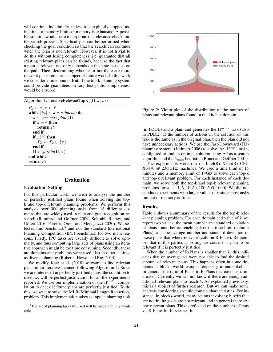will continue indefinitely, unless it is explicitly stopped using time or memory limits or memory is exhausted. A possible solution would be to incorporate the relevance check into the search process. Specifically, it can be performed when checking the goal condition so that the search can continue when the plan is not relevant. However, it is not trivial to do this without losing completeness (i.e. guarantee that all existing relevant plans can be found), because the fact that a plan is relevant not only depends on the state but also on the path. Then, determining whether or not there are more relevant plans remains a subject of future work. In this work we consider a time bound. But, if the top-k planning system could provide guarantees on loop-less paths completeness would be ensured.

|  | Algorithm 1: IterativeRelevantTopK( $\langle \Pi, k, \omega \rangle$ ) |  |  |  |
|--|------------------------------------------------------------------------|--|--|--|
|  |                                                                        |  |  |  |

 $P_k \leftarrow \emptyset, \pi \leftarrow \emptyset$ while  $|P_k|$  <  $k$  ∧ ¬*timeout* do  $\pi \leftarrow get\_next\_plan(\Pi)$ if  $\pi = \emptyset$  then return  $P_k$ end if if  $\omega(\pi)$  then  $P_k \leftarrow P_k \cup {\pi}$ end if  $\Pi \leftarrow$  *forbid*( $\Pi, \pi$ ) end while return  $P_k$ 

### Evaluation

#### Evaluation Setting

For this particular work, we wish to analyse the number of perfectly justified plans found when solving the topk and top-k relevant planning problems. We perform this analysis over 300 planning tasks from 15 different domains that are widely used in plan and goal recognition research (Ramírez and Geffner 2009; Sohrabi, Riabov, and Udrea 2016; Pereira, Oren, and Meneguzzi 2020). We selected this benchmark<sup>3</sup> and not the standard International Planning Competition (IPC) benchmark for two main reasons. Firstly, IPC tasks are usually difficult to solve optimally, and thus computing large sets of plans using an iterative approach might be too time consuming. Secondly, these are domains and problems were used also in other settings as diverse planning (Roberts, Howe, and Ray 2014).

We modify Katz et al. (2018) software to find relevant plans in an iterative manner, following Algorithm 1. Since we are interested in perfectly justified plans, the condition to meet,  $\omega$ , will be perfect justification for all the experiments reported. We use our implementation of the  $\Pi^{ord\hat{e}r}$  compilation to check if found plans are perfectly justified. To do this, we set it to solve the MLR (Minimal Length Reduction) problem. This implementation takes as input a planning task



Figure 2: Violin plot of the distribution of the number of plans and relevant plans found in the kitchen domain.

(in PDDL) and a plan, and generates the  $\Pi^{order}$  task (also in PDDL). If the number of actions in the solution of this task is the same as in the original plan, then the plan did not have unnecessary actions. We use the Fast-Downward (FD) planning system (Helmert 2006) to solve the  $\Pi^{order}$  tasks, configured to find an optimal solution using A\* as a search algorithm and the  $h_{max}$  heuristic (Bonet and Geffner 2001).

The experiments were run on Intel(R) Xeon(R) CPU X3470 @ 2.93GHz machines. We used a time limit of 15 minutes and a memory limit of 14GB to solve each top-k and top-k relevant problem. For each instance of each domain, we solve both the top-k and top-k relevant planning problems for  $k \in [1, 5, 10, 50, 100, 500, 1000]$ . We did not conduct experiments with larger values of  $k$  since most tasks run out of memory or time.

### Results

Table 1 shows a summary of the results for the top-k relevant planning problem. For each domain and value of  $k$  we report two values: the mean number and standard deviation of plans found before reaching  $k$  or the time limit (column Plans), and the average number and standard deviation of those plans that where relevant (column R-Plans). Remember that in this particular setting we consider a plan to be relevant if it is perfectly justified.

When the number of R-Plans is smaller than  $k$ , this indicates that on average we were not able to find the desired amount of relevant plans. This happens often in some domains as blocks-world, campus, depots, grid and sokoban. In general, the ratio of Plans to R-Plans decreases as  $k$  increases. Currently we can not know if there are enough additional relevant plans to reach  $k$ . As explained previously, this is a subject of further research. But we can make some analysis considering specific domain characteristics. For instance, in blocks-world, many actions involving blocks that are not in the goals are not relevant and in general there are few relevant plans. This is reflected on the number of Plans vs. R-Plans for blocks-world.

<sup>&</sup>lt;sup>3</sup>The set of planning tasks we used will be made publicly available.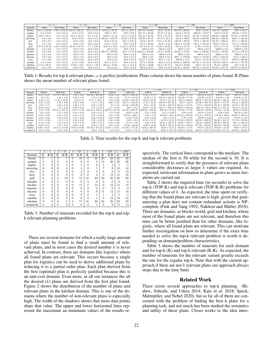|            | $k=5$                 |                 | $k=10$             |                 | $k=50$              |                   | $k = 100$           |                   | $k = 500$           |                     | $k = 1000$          |                     |
|------------|-----------------------|-----------------|--------------------|-----------------|---------------------|-------------------|---------------------|-------------------|---------------------|---------------------|---------------------|---------------------|
| Domain     | Plans                 | Rel-Plans       | Plans              | Rel-Plans       | Plans               | Rel-Plans         | Plans               | Rel-Plans         | Plans               | Rel-Plans           | Plans               | Rel-Plans           |
| blocks     | $1 \pm 65.09$<br>44.1 | $1.95 \pm 0.22$ | $158.9 \pm 125.41$ | $8.55 \pm 2.14$ | $255.45 \pm 82.27$  | $22.2 \pm 14.97$  | $261.55 \pm 69.82$  | $22.9 \pm 16.57$  | $261.55 \pm 69.82$  | $22.9 \pm 16.57$    | $261.55 \pm 69.82$  | $22.9 \pm 16.57$    |
| campus     | $8.2 \pm 6.57$        | $5.0 \pm 0.0$   | $13.2 \pm 6.57$    | $10.0 \pm 0.0$  | $120.5 \pm 56.7$    | $50.0 \pm 0.0$    | $261.15 \pm 88.26$  | $97.35 \pm 8.16$  | $445.9 \pm 52.34$   | $220.85 \pm 72.27$  | $445.9 \pm 52.34$   | $220.85 \pm 72.27$  |
| depots     | $9.05 \pm 18.11$      | $5.0 \pm 0.0$   | $25.3 \pm 52.57$   | $9.9 \pm 0.45$  | $83.05 \pm 71.18$   | $44.5 \pm 13.52$  | $125.55 \pm 53.73$  | $87.0 \pm 31.79$  | $457.0 \pm 94.55$   | $117.25 \pm 179.42$ | $839.35 \pm 296.94$ | $797.25 \pm 379.85$ |
| driverlog  | $5.0 \pm 0.0$         | $5.0 \pm 0.0$   | $10.9 \pm 2.47$    | $10.0 \pm 0.0$  | $100.65 \pm 100.78$ | $45.95 \pm 9.78$  | $149.95 \pm 87.45$  | $85.15 \pm 29.1$  | $434.2 \pm 109.3$   | $343.05 \pm 201.86$ | $696.25 \pm 332.56$ | $600.1 \pm 434.46$  |
| dwr        | $5.0 \pm 0.0$         | $5.0 \pm 0.0$   | $10.0 \pm 0.0$     | $10.0 \pm 0.0$  | $67.6 \pm 54.17$    | $46.8 \pm 9.85$   | $112.6 \pm 38.78$   | $91.8 \pm 25.24$  | $440.35 \pm 99.52$  | $370.4 \pm 182.27$  | $721.05 \pm 320.51$ | $651.1 \pm 409.12$  |
| ferry      | $5.0 \pm 0.0$         | $5.0 \pm 0.0$   | $10.0 \pm 0.0$     | $10.0 \pm 0.0$  | $55.0 \pm 11.23$    | $50.0 \pm 0.0$    | $117.8 \pm 29.94$   | $99.0 \pm 3.64$   | $420.6 \pm 155.36$  | $341.6 \pm 165.52$  | $565.8 \pm 310.21$  | $471.8 \pm 342.68$  |
| grid       | $47.9 \pm 63.38$      | $1.55 \pm 0.83$ | $69.45 \pm 64.73$  | $7.7 \pm 2.94$  | $104.15 \pm 53.6$   | $14.45 \pm 13.78$ | $107.3 \pm 51.12$   | $15.95 \pm 18.22$ | $107.3 \pm 51.12$   | $15.95 \pm 18.22$   | $107.3 \pm 51.12$   | $15.95 \pm 18.22$   |
| intruder   | $5.0 \pm 0.0$         | $5.0 \pm 0.0$   | $10.0 \pm 0.0$     | $10.0 \pm 0.0$  | $50.0 \pm 0.0$      | $50.0 \pm 0.0$    | $100.0 \pm 0.0$     | $100.0 \pm 0.0$   | $500.0 \pm 0.0$     | $500.0 \pm 0.0$     | $1000.0 \pm 0.0$    | $1000.0 \pm 0.0$    |
| kitchen    | $5.0 \pm 0.0$         | $5.0 \pm 0.0$   | $10.0 \pm 0.0$     | $10.0 \pm 0.0$  | $406.15 \pm 269.05$ | $38.8 \pm 8.79$   | $423.65 \pm 244.68$ | $56.3 \pm 32.99$  | $563.65 \pm 52.84$  | $196.3 \pm 228.66$  | $738.65 \pm 198.02$ | $371.3 \pm 473.33$  |
| logistics  | $5.0 \pm 0.0$         | $5.0 \pm 0.0$   | $10.0 \pm 0.0$     | $10.0 \pm 0.0$  | $50.0 \pm 0.0$      | $50.0 \pm 0.0$    | $100.0 \pm 0.0$     | $100.0 \pm 0.0$   | $500.0 \pm 0.0$     | $500.0 \pm 0.0$     | $1000.0 \pm 0.0$    | $1000.0 \pm 0.0$    |
| miconic    | $5.0 \pm 0.0$         | $5.0 \pm 0.0$   | $10.0 \pm 0.0$     | $10.0 \pm 0.0$  | $50.0 \pm 0.0$      | $50.0 \pm 0.0$    | $100.0 \pm 0.0$     | $100.0 \pm 0.0$   | $395.1 \pm 139.83$  | $383.2 \pm 124.99$  | $558.5 \pm 370.72$  | $518.8 \pm 308.3$   |
| rover      | $5.0 \pm 0.0$         | $5.0 \pm 0.0$   | $10.0 \pm 0.0$     | $10.0 \pm 0.0$  | $50.0 \pm 0.0$      | $50.0 \pm 0.0$    | $112.25 \pm 54.78$  | $99.7 \pm 1.34$   | $499.05 \pm 47.3$   | $475.2 \pm 91.95$   | $914.15 \pm 174.57$ | $859.6 \pm 266.66$  |
| satellite  | $5.4 \pm 0.82$        | $5.0 \pm 0.0$   | $11.2 \pm 4.02$    | $10.0 \pm 0.0$  | $63.5 \pm 35.14$    | $50.0 \pm 0.0$    | $127.0 \pm 59.89$   | $99.3 \pm 3.13$   | $524.05 \pm 169.89$ | $327.95 \pm 115.18$ | $558.85 \pm 202.5$  | $361.55 \pm 197.39$ |
| sokoban    | $17.8 \pm 20.11$      | $5.0 \pm 0.0$   | $47.95 \pm 43.0$   | $9.45 \pm 1.23$ | $92.55 \pm 45.05$   | $23.4 \pm 15.3$   | $95.45 \pm 42.66$   | $26.3 \pm 21.15$  | $95.45 \pm 42.66$   | $26.3 \pm 21.15$    | $95.45 \pm 42.66$   | $26.3 \pm 21.15$    |
| zenotravel | $5.0 \pm 0.0$         | $5.0 \pm 0.0$   | $10.0 \pm 0.0$     | $10.0 \pm 0.0$  | $50.0 \pm 0.0$      | $50.0 \pm 0.0$    | $109.3 \pm 28.77$   | $99.0 \pm 4.47$   | $444.85 \pm 130.84$ | $396.55 \pm 132.22$ | $716.85 \pm 477.12$ | $602.75 \pm 342.55$ |

Table 1: Results for top-k relevant plans.  $\omega$  is perfect justification. Plans column shows the mean number of plans found. R-Plans shows the mean number of relevant plans found.

|            | $k=5$            |                     | $k=10$            |                     | $k=50$             |                     | $k = 100$           |                     | $k = 500$           |                     | $k = 1000$          |                     |
|------------|------------------|---------------------|-------------------|---------------------|--------------------|---------------------|---------------------|---------------------|---------------------|---------------------|---------------------|---------------------|
| Domain     | TOP-K            | TOP-K-R             | TOP-K             | TOP-K-R             | TOP-K              | TOP-K-R             | TOP-K               | TOP-K-R             | TOP-K               | TOP-K-R             | TOP-K               | TOP-K-R             |
| blocks     | $0.61 \pm 0.21$  | $61.79 \pm 197.31$  | $.28 \pm 0.45$    | $403.32 \pm 407.96$ | $13.01 \pm 6.0$    | $848.78 \pm 194.22$ | $71.33 \pm 47.74$   | $892.13 \pm 2.83$   | $892.67 \pm 4.58$   | $892.13 \pm 2.83$   | $892.67 \pm 4.58$   | $892.13 \pm 2.83$   |
| campus     | $0.6 \pm 0.1$    | $3.42 \pm 3.01$     | $1.06 \pm 0.17$   | $5.32 \pm 2.82$     | $7.03 \pm 3.05$    | $73.14 \pm 47.69$   | $23.96 \pm 7.16$    | $305.19 \pm 248.23$ | $856.96 \pm 77.69$  | $885.98 \pm 2.37$   | $893.99 \pm 1.86$   | $885.98 \pm 2.37$   |
| depots     | $4.46 \pm 4.77$  | $11.42 \pm 24.09$   | $4.54 \pm 4.7$    | $57.11 \pm 197.6$   | $7.04 \pm 6.08$    | $156.38 \pm 318.39$ | $19.93 \pm 29.91$   | $167.9 \pm 313.52$  | $183.9 \pm 363.04$  | $290.95 \pm 307.78$ | $227.08 \pm 393.18$ | $429.71 \pm 274.82$ |
| driverlog  | $0.32 \pm 0.22$  | $1.46 \pm 0.28$     | $0.43 \pm 0.29$   | $3.14 \pm 1.58$     | $3.96 \pm 7.23$    | $188.14 \pm 356.62$ | $17.23 \pm 35.84$   | $239.66 \pm 381.36$ | $352.7 \pm 431.0$   | $453.29 \pm 398.78$ | $446.25 \pm 457.37$ | $543.48 \pm 348.29$ |
| dwr        | $1.65 \pm 1.74$  | $4.46 \pm 3.56$     | $1.66 \pm 1.74$   | $6.83 \pm 5.06$     | $2.7 \pm 3.2$      | $113.46 \pm 265.99$ | $10.0 \pm 25.22$    | $135.88 \pm 259.73$ | $358.41 \pm 447.01$ | $547.2 \pm 304.83$  | $358.45 \pm 446.98$ | $718.61 \pm 237.36$ |
| ferry      | $0.25 \pm 0.04$  | $1.6 \pm 0.18$      | $0.26 \pm 0.04$   | $2.72 \pm 0.31$     | $4.11 \pm 9.19$    | $26.6 \pm 45.9$     | $39.61 \pm 79.46$   | $165.11 \pm 296.76$ | $499.92 \pm 399.58$ | $609.16 \pm 344.1$  | $691.51 \pm 355.47$ | $738.12 \pm 247.45$ |
| grid       | $2.17 \pm 2.98$  | $277.25 \pm 412.79$ | $7.07 \pm 11.28$  | $459.18 \pm 438.24$ | $203.9 \pm 247.39$ | $815.92 \pm 200.78$ | $609.08 \pm 324.62$ | $880.73 \pm 23.99$  | $883.33 \pm 11.98$  | $880.73 \pm 23.99$  | $883.33 \pm 11.98$  | $880.73 \pm 23.99$  |
| intruder   | $0.2 \pm 0.02$   | $1.47 \pm 0.06$     | $0.19 \pm 0.02$   | $2.52 \pm 0.11$     | $0.2 \pm 0.02$     | $10.92 \pm 0.48$    | $0.21 \pm 0.02$     | $21.44 \pm 0.96$    | $0.25 \pm 0.01$     | $105.21 \pm 4.82$   | $0.28 \pm 0.01$     | $209.76 \pm 9.63$   |
| kitchen    | $0.22 \pm 0.04$  | $1.44 \pm 0.25$     | $0.31 \pm 0.12$   | $2.78 \pm 0.36$     | $1.47 \pm 1.02$    | $579.35 \pm 426.1$  | $5.01 \pm 3.58$     | $583.86 \pm 419.8$  | $291.94 \pm 228.38$ | $619.15 \pm 370.45$ | $579.58 \pm 436.1$  | $663.62 \pm 308.28$ |
| logistics  | $0.22 \pm 0.02$  | $1.55 \pm 0.04$     | $0.21 \pm 0.02$   | $2.63 \pm 0.06$     | $0.22 \pm 0.02$    | $11.36 \pm 0.24$    | $0.23 \pm 0.02$     | $22.3 \pm 0.47$     | $0.29 \pm 0.03$     | $109.28 \pm 2.28$   | $0.33 \pm 0.03$     | $218.01 \pm 4.63$   |
| miconic    | $0.27 \pm 0.06$  | $1.47 \pm 0.1$      | $0.42 \pm 0.23$   | $2.85 \pm 0.49$     | $4.32 \pm 4.62$    | $16.91 \pm 6.6$     | $23.14 \pm 28.47$   | $48.37 \pm 32.12$   | $579.04 \pm 391.23$ | $642.95 \pm 330.82$ | $700.86 \pm 334.1$  | $771.58 \pm 228.86$ |
| rover      | $0.42 \pm 0.48$  | $1.74 \pm 0.53$     | $0.42 \pm 0.48$   | $2.86 \pm 0.57$     | $0.43 \pm 0.48$    | $11.76 \pm 1.05$    | $0.58 \pm 0.81$     | $66.12 \pm 192.94$  | $48.66 \pm 199.57$  | $190.02 \pm 236.65$ | $223.99 \pm 397.08$ | $391.2 \pm 288.52$  |
| satellite  | $0.28 \pm 0.14$  | $1.47 \pm 0.31$     | $0.38 \pm 0.21$   | $2.83 \pm 1.49$     | $3.18 \pm 2.55$    | $22.86 \pm 30.06$   | $12.89 \pm 16.98$   | $84.58 \pm 188.72$  | $571.24 \pm 328.02$ | $817.98 \pm 204.97$ | $846.09 \pm 198.99$ | $848.75 \pm 153.6$  |
| sokoban    | $6.99 \pm 10.57$ | $55.75 \pm 115.06$  | $19.87 \pm 29.48$ | $297.85 \pm 374.79$ | $310.81 \pm 312.7$ | $811.89 \pm 177.28$ | $635.6 \pm 297.76$  | $883.9 \pm 10.72$   | $882.85 \pm 13.61$  | $883.9 \pm 10.72$   | $882.85 \pm 13.61$  | $883.9 \pm 10.72$   |
| zenotravel | $0.61 \pm 0.58$  | $1.76 \pm 0.67$     | $0.73 \pm 0.78$   | $2.86 \pm 1.02$     | $4.2 \pm 6.19$     | $15.09 \pm 7.91$    | $15.18 \pm 24.28$   | $80.94 \pm 192.4$   | $379.63 \pm 384.06$ | $505.01 \pm 378.75$ | $614.63 \pm 412.7$  | $687.66 \pm 308.04$ |

Table 2: Time results for the top-k and top-k relevant problems.

|            | $k=5$          |                | $k=10$   |          | $k=50$         |                | $k=100$  |                | $k=500$         |                | $k = 1000$ |       |
|------------|----------------|----------------|----------|----------|----------------|----------------|----------|----------------|-----------------|----------------|------------|-------|
| Domain     | K              | $K-R$          | K        | $K-R$    | K              | $K-R$          | K        | K-R            | K               | $K-R$          | K          | $K-R$ |
| blocks     | $\overline{0}$ |                | $\theta$ |          | 0              | 19             | $\Omega$ | 20             | $\overline{20}$ | 20             | 20         | 20    |
| campus     | $\Omega$       | 0              | 0        | 0        | $\Omega$       | $\Omega$       | $\Omega$ | $\overline{2}$ | 13              | 20             | 20         | 20    |
| depots     | $\Omega$       | $\Omega$       | $\Omega$ |          | $\Omega$       | 3              | $\Omega$ | 3              | 4               | 4              | 5          | 5     |
| driverlog  | $\theta$       | 0              | 0        | $\Omega$ | $\theta$       | 4              | $\Omega$ | 5              | 7               | 9              | 10         | 10    |
| dwr        | $\Omega$       | $\overline{0}$ | 0        | $\Omega$ | $\theta$       | $\overline{2}$ | $\Omega$ | $\overline{2}$ | 8               | 8              | 8          | 12    |
| ferry      | $\Omega$       | $\overline{0}$ | 0        | $\Omega$ | $\overline{0}$ | $\Omega$       | $\Omega$ | $\overline{2}$ | 9               | 12             | 15         | 16    |
| grid       | $\theta$       | 6              | 0        | 10       | $\overline{2}$ | 18             | 10       | 20             | 20              | 20             | 20         | 20    |
| intruder   | $\theta$       | $\overline{0}$ | 0        | $\Omega$ | $\overline{0}$ | $\Omega$       | $\Omega$ | $\Omega$       | $\Omega$        | $\Omega$       | $\Omega$   |       |
| kitchen    | $\theta$       | $\overline{0}$ | 0        | $\Omega$ | $\theta$       | 13             | $\Omega$ | 13             | $\theta$        | 13             | 13         | 13    |
| logistics  | $\theta$       | $\theta$       | $\Omega$ | $\Omega$ | $\theta$       | $\Omega$       | $\Omega$ | $\Omega$       | $\Omega$        | $\Omega$       | $\Omega$   |       |
| miconic    | $\theta$       | $\theta$       | 0        | $\Omega$ | $\theta$       | $\Omega$       | $\Omega$ | 0              | 11              | 12             | 15         | 16    |
| rover      | $\theta$       | $\overline{0}$ | 0        | 0        | $\theta$       | $\Omega$       | $\Omega$ |                |                 | $\overline{2}$ | 5          | 5     |
| satellite  | $\theta$       | 0              | 0        | 0        | $\theta$       | $\Omega$       | $\Omega$ |                | 9               | 18             | 19         | 19    |
| sokoban    | $\theta$       | $\overline{0}$ | 0        | 5        | 3              | 17             | 10       | 20             | 20              | 20             | 20         | 20    |
| zenotravel | $\theta$       | 0              | 0        | $\Omega$ | $\theta$       | $\Omega$       | $\Omega$ |                | 6               | 9              | 13         | 14    |

Table 3: Number of timeouts recorded for the top-k and topk relevant planning problems

There are several domains for which a really large amount of plans must be found to find a small amount of relevant plans, and in most cases the desired number  $k$  is never achieved. In contrast, there are domains like logistics where all found plans are relevant. This occurs because a single plan for logistics can be used to derive additional plans by reducing it to a partial order plan. Each plan derived from the first (optimal) plan is perfectly justified because this is an unit-cost domain. Even more, in all our instances the all the desired  $(k)$  plans are derived from the first plan found. Figure 2 shows the distribution of the number of plans and relevant plans in the kitchen domain. This is one of the domains where the number of non-relevant plans is especially high. The width of the shadows shows that more data points share that value. The upper and lower horizontal lines represent the maximum an minimum values of the results respectively. The vertical lines correspond to the medians. The median of the first is 50 while for the second is 10. It is straightforward to verify that the presence of relevant plans considerably decreases as larger k values are required. As expected, irrelevant information in plans grows as more iterations are carried out.

Table 2 shows the required time (in seconds) to solve the top-k (TOP-K) and top-k relevant (TOP-K-R) problems for different values of  $k$ . As expected, the time spent on verifying that the found plans are relevant is high, given that guaranteeing a plan does not contain redundant actions is NPcomplete (Fink and Yang 1992; Nakhost and Müller 2010). There are domains, as blocks-world, grid and kitchen, where most of the found plans are not relevant, and therefore this time can be better justified than for other domains, like logistic, where all found plans are relevant. This can motivate further investigation on how to determine if the extra time needed to solve the top-k relevant problem is worth it depending on domain/problem characteristics.

Table 3 shows the number of timeouts for each domain and for top-k (K) and top-k relevant (K-R). As expected, the number of timeouts for the relevant variant greatly exceeds the one for the regular top-k. Note that with the current approach if there are not  $k$  relevant plans our approach always stops due to the time limit.

#### Related Work

There exists several approaches to top-k planning (Riabov, Sohrabi, and Udrea 2014; Katz et al. 2018; Speck, Mattmüller, and Nebel 2020), but so far all of them are concerned with the problem of finding the best k plans for a planning task, and not much has been studied the semantics and utility of these plans. Closer works to the idea intro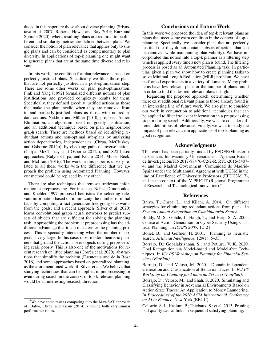duced in this paper are those about diverse planning (Srivastava et al. 2007; Roberts, Howe, and Ray 2014; Katz and Sohrabi 2020), where resulting plans are required to be different and similarity metrics are defined between plans. We consider the notion of plan relevance that applies only to single plans and can be considered as complementary to plan diversity. In applications of top-k planning one might want to generate plans that are at the same time diverse and relevant.

In this work, the condition for plan relevance is based on perfectly justified plans. Specifically we filter those plans that are not perfectly justified in a post-optimization step. There are some other works on plan post-optimization. Fink and Yang [1992] formalized different notions of plan justifications and provided complexity results for them. Specifically, they defined greedily justified actions as those that make the plan invalid when they are removed from it, and perfectly-justified plans as those with no redundant actions. Nakhost and Müller [2010] proposed Action Elimination, an algorithm based on greedy justification, and an additional technique based on plan neighborhood graph search. There are methods based on identifying redundant actions and non-optimal sub-plans by analyzing action dependencies, independencies (Chrpa, McCluskey, and Osborne 2012b), by checking pairs of inverse actions (Chrpa, McCluskey, and Osborne 2012a), and SAT-based approaches (Balyo, Chrpa, and Kilani 2014; Muise, Beck, and McIlraith 2016). The work in this paper is closely related to all these works with the difference that we approach the problem using Automated Planning. However, our method could be replaced by any other.<sup>4</sup>

There are also techniques that remove irrelevant information at preprocessing. For instance, Nebel, Dimopoulos, and Koehler 1997 proposed heuristics for selecting relevant information based on minimizing the number of initial facts by computing a fact generation tree going backwards from the goals; and a recent approach (Silver et al. 2020) learns convolutional graph neural networks to predict subsets of objects that are sufficient for solving the planning task. Approaching the problem at preprocessing has the additional advantage that it can make easier the planning process. This is specially interesting when the number of objects is very large. In this case, most modern heuristic planners that ground the actions over objects during preprocessing scale poorly. This is also one of the motivations for recent research on lifted planning (Corrêa et al. 2020), abstractions that simplify the problem (Fuentetaja and de la Rosa 2016) and some approaches based on generalized planning, as the aforementioned work of Silver et al.. We believe that studying techniques that can be applied in preprocessing or even during search in the context of top-k relevant planning would be an interesting research direction.

# Conclusions and Future Work

In this work we proposed the idea of top-k relevant plans as plans that meet some extra condition in the context of top-k planning. Specifically, we consider plans that are perfectly justified (i.e. they do not contain subsets of actions that can be removed while maintaining plan validity). We have incorporated this notion into a top-k planner as a filtering step which is applied every time a new plan is found. The filtering process is posed as an Automated Planning task. In particular, given a plan we show how to create planning tasks to solve Minimal Length Reduction (MLR) problem. We have performed experiments in a variety of domains. Many problems have few relevant plans or the number of plans found in order to find the desired relevant plans is high.

Regarding the proposed approach, determining whether there exist additional relevant plans to those already found is an interesting line of future work. We also plan to consider our work in conjunction to additional techniques that can be applied to filter irrelevant information in a preprocessing step or during search. Additionally, we wish to consider different definitions of relevance. Finally, we want to study the impact of plan relevance in applications of top-k planning as goal recognition.

# Acknowledgments

This work has been partially funded by FEDER/Ministerio de Ciencia, Innovación y Universidades - Agencia Estatal de Investigacion/TIN2017-88476-C2-2-R, RTC-2016-5407- ´ 4, and the Madrid Government (Comunidad de Madrid-Spain) under the Multiannual Agreement with UC3M in the line of Excellence of University Professors (EPUC3M17), and in the context of the V PRICIT (Regional Programme of Research and Technological Innovation)."

#### References

Balyo, T.; Chrpa, L.; and Kilani, A. 2014. On different strategies for eliminating redundant actions from plans. In *Seventh Annual Symposium on Combinatorial Search*.

Boddy, M. S.; Gohde, J.; Haigh, T.; and Harp, S. A. 2005. Course of Action Generation for Cyber Security Using Classical Planning. In *ICAPS 2005*, 12–21.

Bonet, B.; and Geffner, H. 2001. Planning as heuristic search. *Artificial Intelligence*, 129(1): 5–33.

Borrajo, D.; Gopalakrishnan, S.; and Potluru, V. K. 2020. Goal Recognition via Model-based and Model-free Techniques. In *ICAPS Workshop on Planning for Financial Services (FinPlan)*.

Borrajo, D.; and Veloso, M. 2020. Domain-independent Generation and Classification of Behavior Traces. In *ICAPS Workshop on Planning for Financial Services (FinPlan)*.

Borrajo, D.; Veloso, M.; and Shah, S. 2020. Simulating and Classifying Behavior in Adversarial Environments Based on Action-State Traces: An Application to Money Laundering. In *Proceedings of the 2020 ACM International Conference on AI in Finance*. New York (EEUU).

Celorrio, S. J.; Haslum, P.; Thiebaux, S.; et al. 2013. Pruning bad quality causal links in sequential satisfying planning.

<sup>&</sup>lt;sup>4</sup>We have some results comparing it to the Max-SAT approach of Balyo, Chrpa, and Kilani (2014), showing both very similar performance times.